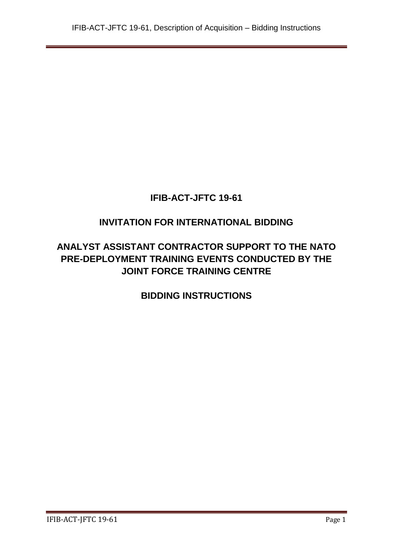# **IFIB-ACT-JFTC 19-61**

# **INVITATION FOR INTERNATIONAL BIDDING**

# **ANALYST ASSISTANT CONTRACTOR SUPPORT TO THE NATO PRE-DEPLOYMENT TRAINING EVENTS CONDUCTED BY THE JOINT FORCE TRAINING CENTRE**

**BIDDING INSTRUCTIONS**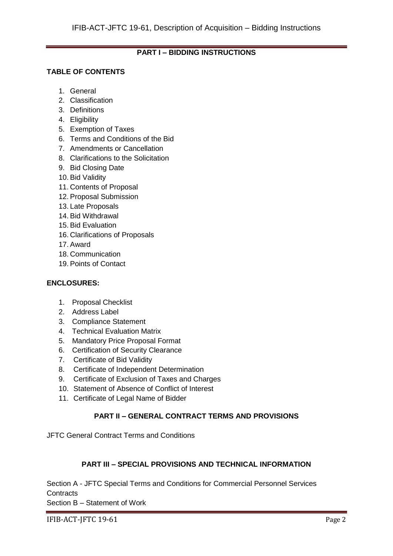# **PART I – BIDDING INSTRUCTIONS**

# **TABLE OF CONTENTS**

- 1. General
- 2. Classification
- 3. Definitions
- 4. Eligibility
- 5. Exemption of Taxes
- 6. Terms and Conditions of the Bid
- 7. Amendments or Cancellation
- 8. Clarifications to the Solicitation
- 9. Bid Closing Date
- 10. Bid Validity
- 11. Contents of Proposal
- 12. Proposal Submission
- 13. Late Proposals
- 14. Bid Withdrawal
- 15. Bid Evaluation
- 16. Clarifications of Proposals
- 17. Award
- 18. Communication
- 19. Points of Contact

#### **ENCLOSURES:**

- 1. Proposal Checklist
- 2. Address Label
- 3. Compliance Statement
- 4. Technical Evaluation Matrix
- 5. Mandatory Price Proposal Format
- 6. Certification of Security Clearance
- 7. Certificate of Bid Validity
- 8. Certificate of Independent Determination
- 9. Certificate of Exclusion of Taxes and Charges
- 10. Statement of Absence of Conflict of Interest
- 11. Certificate of Legal Name of Bidder

# **PART II – GENERAL CONTRACT TERMS AND PROVISIONS**

JFTC General Contract Terms and Conditions

#### **PART III – SPECIAL PROVISIONS AND TECHNICAL INFORMATION**

Section A - JFTC Special Terms and Conditions for Commercial Personnel Services **Contracts** 

Section B – Statement of Work

IFIB-ACT-JFTC 19-61 Page 2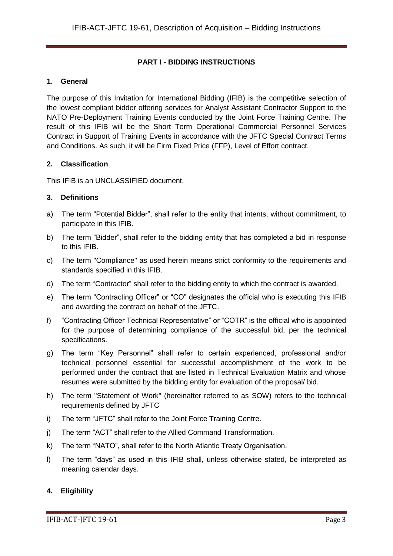# **PART I - BIDDING INSTRUCTIONS**

# **1. General**

The purpose of this Invitation for International Bidding (IFIB) is the competitive selection of the lowest compliant bidder offering services for Analyst Assistant Contractor Support to the NATO Pre-Deployment Training Events conducted by the Joint Force Training Centre. The result of this IFIB will be the Short Term Operational Commercial Personnel Services Contract in Support of Training Events in accordance with the JFTC Special Contract Terms and Conditions. As such, it will be Firm Fixed Price (FFP), Level of Effort contract.

# **2. Classification**

This IFIB is an UNCLASSIFIED document.

# **3. Definitions**

- a) The term "Potential Bidder", shall refer to the entity that intents, without commitment, to participate in this IFIB.
- b) The term "Bidder", shall refer to the bidding entity that has completed a bid in response to this IFIB.
- c) The term "Compliance" as used herein means strict conformity to the requirements and standards specified in this IFIB.
- d) The term "Contractor" shall refer to the bidding entity to which the contract is awarded.
- e) The term "Contracting Officer" or "CO" designates the official who is executing this IFIB and awarding the contract on behalf of the JFTC.
- f) "Contracting Officer Technical Representative" or "COTR" is the official who is appointed for the purpose of determining compliance of the successful bid, per the technical specifications.
- g) The term "Key Personnel" shall refer to certain experienced, professional and/or technical personnel essential for successful accomplishment of the work to be performed under the contract that are listed in Technical Evaluation Matrix and whose resumes were submitted by the bidding entity for evaluation of the proposal/ bid.
- h) The term "Statement of Work" (hereinafter referred to as SOW) refers to the technical requirements defined by JFTC
- i) The term "JFTC" shall refer to the Joint Force Training Centre.
- j) The term "ACT" shall refer to the Allied Command Transformation.
- k) The term "NATO", shall refer to the North Atlantic Treaty Organisation.
- l) The term "days" as used in this IFIB shall, unless otherwise stated, be interpreted as meaning calendar days.

# **4. Eligibility**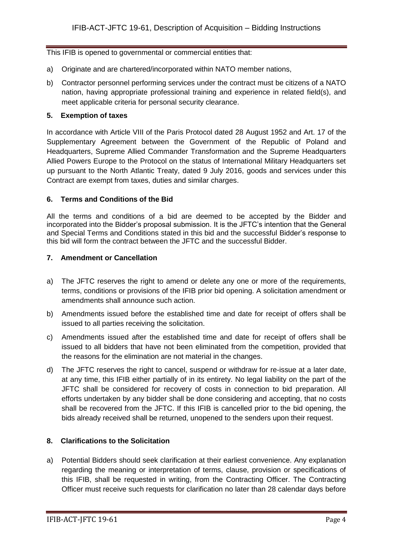This IFIB is opened to governmental or commercial entities that:

- a) Originate and are chartered/incorporated within NATO member nations,
- b) Contractor personnel performing services under the contract must be citizens of a NATO nation, having appropriate professional training and experience in related field(s), and meet applicable criteria for personal security clearance.

# **5. Exemption of taxes**

In accordance with Article VIII of the Paris Protocol dated 28 August 1952 and Art. 17 of the Supplementary Agreement between the Government of the Republic of Poland and Headquarters, Supreme Allied Commander Transformation and the Supreme Headquarters Allied Powers Europe to the Protocol on the status of International Military Headquarters set up pursuant to the North Atlantic Treaty, dated 9 July 2016, goods and services under this Contract are exempt from taxes, duties and similar charges.

# **6. Terms and Conditions of the Bid**

All the terms and conditions of a bid are deemed to be accepted by the Bidder and incorporated into the Bidder's proposal submission. It is the JFTC's intention that the General and Special Terms and Conditions stated in this bid and the successful Bidder's response to this bid will form the contract between the JFTC and the successful Bidder.

#### **7. Amendment or Cancellation**

- a) The JFTC reserves the right to amend or delete any one or more of the requirements, terms, conditions or provisions of the IFIB prior bid opening. A solicitation amendment or amendments shall announce such action.
- b) Amendments issued before the established time and date for receipt of offers shall be issued to all parties receiving the solicitation.
- c) Amendments issued after the established time and date for receipt of offers shall be issued to all bidders that have not been eliminated from the competition, provided that the reasons for the elimination are not material in the changes.
- d) The JFTC reserves the right to cancel, suspend or withdraw for re-issue at a later date, at any time, this IFIB either partially of in its entirety. No legal liability on the part of the JFTC shall be considered for recovery of costs in connection to bid preparation. All efforts undertaken by any bidder shall be done considering and accepting, that no costs shall be recovered from the JFTC. If this IFIB is cancelled prior to the bid opening, the bids already received shall be returned, unopened to the senders upon their request.

# **8. Clarifications to the Solicitation**

a) Potential Bidders should seek clarification at their earliest convenience. Any explanation regarding the meaning or interpretation of terms, clause, provision or specifications of this IFIB, shall be requested in writing, from the Contracting Officer. The Contracting Officer must receive such requests for clarification no later than 28 calendar days before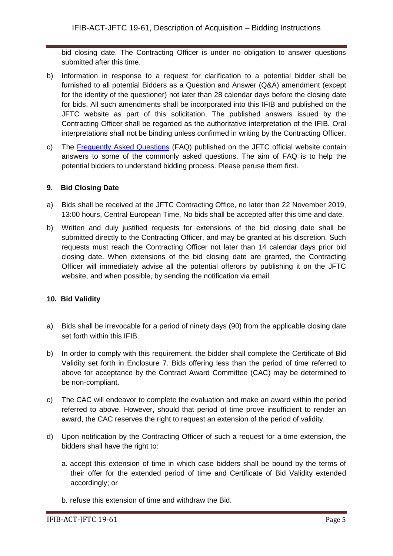bid closing date. The Contracting Officer is under no obligation to answer questions submitted after this time.

- b) Information in response to a request for clarification to a potential bidder shall be furnished to all potential Bidders as a Question and Answer (Q&A) amendment (except for the identity of the questioner) not later than 28 calendar days before the closing date for bids. All such amendments shall be incorporated into this IFIB and published on the JFTC website as part of this solicitation. The published answers issued by the Contracting Officer shall be regarded as the authoritative interpretation of the IFIB. Oral interpretations shall not be binding unless confirmed in writing by the Contracting Officer.
- c) The [Frequently Asked Questions](http://www.jftc.nato.int/organization/contracting) (FAQ) published on the JFTC official website contain answers to some of the commonly asked questions. The aim of FAQ is to help the potential bidders to understand bidding process. Please peruse them first.

# **9. Bid Closing Date**

- a) Bids shall be received at the JFTC Contracting Office, no later than 22 November 2019, 13:00 hours, Central European Time. No bids shall be accepted after this time and date.
- b) Written and duly justified requests for extensions of the bid closing date shall be submitted directly to the Contracting Officer, and may be granted at his discretion. Such requests must reach the Contracting Officer not later than 14 calendar days prior bid closing date. When extensions of the bid closing date are granted, the Contracting Officer will immediately advise all the potential offerors by publishing it on the JFTC website, and when possible, by sending the notification via email.

# **10. Bid Validity**

- a) Bids shall be irrevocable for a period of ninety days (90) from the applicable closing date set forth within this IFIB.
- b) In order to comply with this requirement, the bidder shall complete the Certificate of Bid Validity set forth in Enclosure 7. Bids offering less than the period of time referred to above for acceptance by the Contract Award Committee (CAC) may be determined to be non-compliant.
- c) The CAC will endeavor to complete the evaluation and make an award within the period referred to above. However, should that period of time prove insufficient to render an award, the CAC reserves the right to request an extension of the period of validity.
- d) Upon notification by the Contracting Officer of such a request for a time extension, the bidders shall have the right to:
	- a. accept this extension of time in which case bidders shall be bound by the terms of their offer for the extended period of time and Certificate of Bid Validity extended accordingly; or
	- b. refuse this extension of time and withdraw the Bid.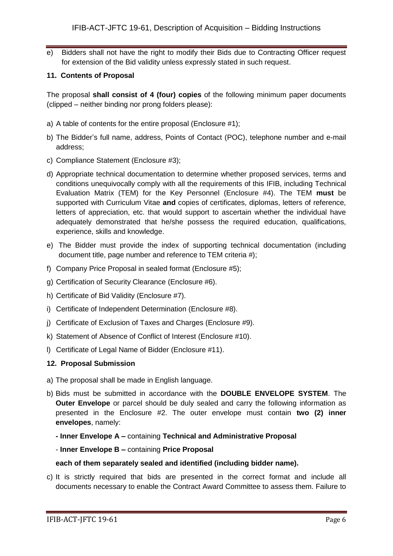e) Bidders shall not have the right to modify their Bids due to Contracting Officer request for extension of the Bid validity unless expressly stated in such request.

#### **11. Contents of Proposal**

The proposal **shall consist of 4 (four) copies** of the following minimum paper documents (clipped – neither binding nor prong folders please):

- a) A table of contents for the entire proposal (Enclosure #1);
- b) The Bidder's full name, address, Points of Contact (POC), telephone number and e-mail address;
- c) Compliance Statement (Enclosure #3);
- d) Appropriate technical documentation to determine whether proposed services, terms and conditions unequivocally comply with all the requirements of this IFIB, including Technical Evaluation Matrix (TEM) for the Key Personnel (Enclosure #4). The TEM **must** be supported with Curriculum Vitae **and** copies of certificates, diplomas, letters of reference, letters of appreciation, etc. that would support to ascertain whether the individual have adequately demonstrated that he/she possess the required education, qualifications, experience, skills and knowledge.
- e) The Bidder must provide the index of supporting technical documentation (including document title, page number and reference to TEM criteria #);
- f) Company Price Proposal in sealed format (Enclosure #5);
- g) Certification of Security Clearance (Enclosure #6).
- h) Certificate of Bid Validity (Enclosure #7).
- i) Certificate of Independent Determination (Enclosure #8).
- j) Certificate of Exclusion of Taxes and Charges (Enclosure #9).
- k) Statement of Absence of Conflict of Interest (Enclosure #10).
- l) Certificate of Legal Name of Bidder (Enclosure #11).

#### **12. Proposal Submission**

- a) The proposal shall be made in English language.
- b) Bids must be submitted in accordance with the **DOUBLE ENVELOPE SYSTEM**. The **Outer Envelope** or parcel should be duly sealed and carry the following information as presented in the Enclosure #2. The outer envelope must contain **two (2) inner envelopes**, namely:
	- **- Inner Envelope A –** containing **Technical and Administrative Proposal**
	- **Inner Envelope B –** containing **Price Proposal**

#### **each of them separately sealed and identified (including bidder name).**

c) It is strictly required that bids are presented in the correct format and include all documents necessary to enable the Contract Award Committee to assess them. Failure to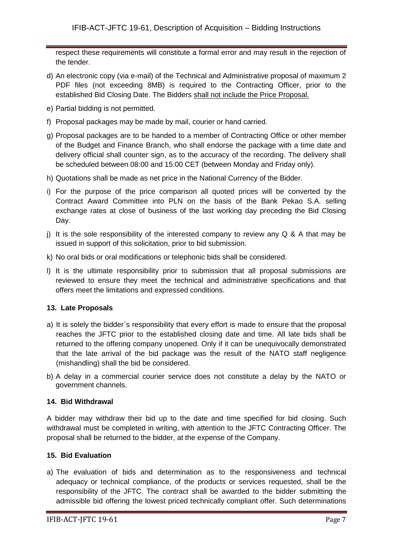respect these requirements will constitute a formal error and may result in the rejection of the tender.

- d) An electronic copy (via e-mail) of the Technical and Administrative proposal of maximum 2 PDF files (not exceeding 8MB) is required to the Contracting Officer, prior to the established Bid Closing Date. The Bidders shall not include the Price Proposal.
- e) Partial bidding is not permitted.
- f) Proposal packages may be made by mail, courier or hand carried.
- g) Proposal packages are to be handed to a member of Contracting Office or other member of the Budget and Finance Branch, who shall endorse the package with a time date and delivery official shall counter sign, as to the accuracy of the recording. The delivery shall be scheduled between 08:00 and 15:00 CET (between Monday and Friday only).
- h) Quotations shall be made as net price in the National Currency of the Bidder.
- i) For the purpose of the price comparison all quoted prices will be converted by the Contract Award Committee into PLN on the basis of the Bank Pekao S.A. selling exchange rates at close of business of the last working day preceding the Bid Closing Day.
- j) It is the sole responsibility of the interested company to review any  $Q$  & A that may be issued in support of this solicitation, prior to bid submission.
- k) No oral bids or oral modifications or telephonic bids shall be considered.
- l) It is the ultimate responsibility prior to submission that all proposal submissions are reviewed to ensure they meet the technical and administrative specifications and that offers meet the limitations and expressed conditions.

# **13. Late Proposals**

- a) It is solely the bidder`s responsibility that every effort is made to ensure that the proposal reaches the JFTC prior to the established closing date and time. All late bids shall be returned to the offering company unopened. Only if it can be unequivocally demonstrated that the late arrival of the bid package was the result of the NATO staff negligence (mishandling) shall the bid be considered.
- b) A delay in a commercial courier service does not constitute a delay by the NATO or government channels.

#### **14. Bid Withdrawal**

A bidder may withdraw their bid up to the date and time specified for bid closing. Such withdrawal must be completed in writing, with attention to the JFTC Contracting Officer. The proposal shall be returned to the bidder, at the expense of the Company.

# **15. Bid Evaluation**

a) The evaluation of bids and determination as to the responsiveness and technical adequacy or technical compliance, of the products or services requested, shall be the responsibility of the JFTC. The contract shall be awarded to the bidder submitting the admissible bid offering the lowest priced technically compliant offer. Such determinations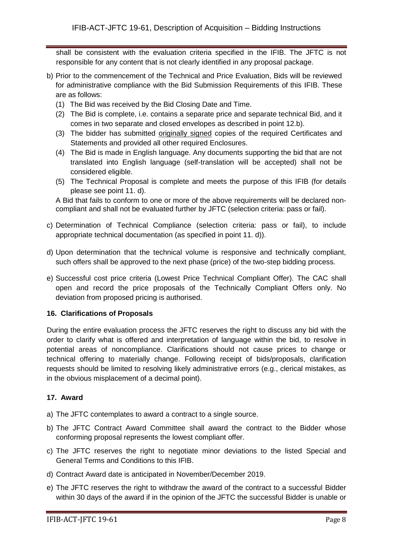shall be consistent with the evaluation criteria specified in the IFIB. The JFTC is not responsible for any content that is not clearly identified in any proposal package.

- b) Prior to the commencement of the Technical and Price Evaluation, Bids will be reviewed for administrative compliance with the Bid Submission Requirements of this IFIB. These are as follows:
	- (1) The Bid was received by the Bid Closing Date and Time.
	- (2) The Bid is complete, i.e. contains a separate price and separate technical Bid, and it comes in two separate and closed envelopes as described in point 12.b).
	- (3) The bidder has submitted originally signed copies of the required Certificates and Statements and provided all other required Enclosures.
	- (4) The Bid is made in English language. Any documents supporting the bid that are not translated into English language (self-translation will be accepted) shall not be considered eligible.
	- (5) The Technical Proposal is complete and meets the purpose of this IFIB (for details please see point 11. d).

A Bid that fails to conform to one or more of the above requirements will be declared noncompliant and shall not be evaluated further by JFTC (selection criteria: pass or fail).

- c) Determination of Technical Compliance (selection criteria: pass or fail), to include appropriate technical documentation (as specified in point 11. d)).
- d) Upon determination that the technical volume is responsive and technically compliant, such offers shall be approved to the next phase (price) of the two-step bidding process.
- e) Successful cost price criteria (Lowest Price Technical Compliant Offer). The CAC shall open and record the price proposals of the Technically Compliant Offers only. No deviation from proposed pricing is authorised.

# **16. Clarifications of Proposals**

During the entire evaluation process the JFTC reserves the right to discuss any bid with the order to clarify what is offered and interpretation of language within the bid, to resolve in potential areas of noncompliance. Clarifications should not cause prices to change or technical offering to materially change. Following receipt of bids/proposals, clarification requests should be limited to resolving likely administrative errors (e.g., clerical mistakes, as in the obvious misplacement of a decimal point).

# **17. Award**

- a) The JFTC contemplates to award a contract to a single source.
- b) The JFTC Contract Award Committee shall award the contract to the Bidder whose conforming proposal represents the lowest compliant offer.
- c) The JFTC reserves the right to negotiate minor deviations to the listed Special and General Terms and Conditions to this IFIB.
- d) Contract Award date is anticipated in November/December 2019.
- e) The JFTC reserves the right to withdraw the award of the contract to a successful Bidder within 30 days of the award if in the opinion of the JFTC the successful Bidder is unable or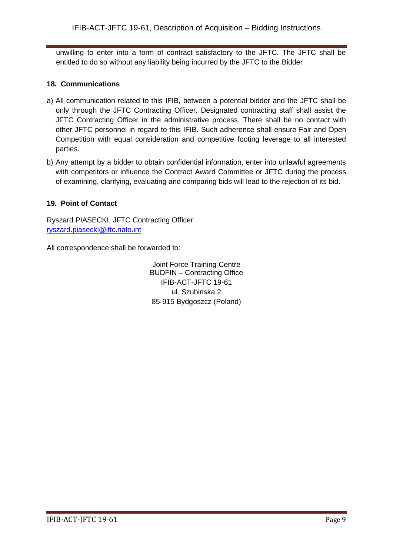unwilling to enter into a form of contract satisfactory to the JFTC. The JFTC shall be entitled to do so without any liability being incurred by the JFTC to the Bidder

# **18. Communications**

- a) All communication related to this IFIB, between a potential bidder and the JFTC shall be only through the JFTC Contracting Officer. Designated contracting staff shall assist the JFTC Contracting Officer in the administrative process. There shall be no contact with other JFTC personnel in regard to this IFIB. Such adherence shall ensure Fair and Open Competition with equal consideration and competitive footing leverage to all interested parties.
- b) Any attempt by a bidder to obtain confidential information, enter into unlawful agreements with competitors or influence the Contract Award Committee or JFTC during the process of examining, clarifying, evaluating and comparing bids will lead to the rejection of its bid.

# **19. Point of Contact**

Ryszard PIASECKI, JFTC Contracting Officer [ryszard.piasecki@jftc.nato.int](mailto:ryszard.piasecki@jftc.nato.int)

All correspondence shall be forwarded to:

Joint Force Training Centre BUDFIN – Contracting Office IFIB-ACT-JFTC 19-61 ul. Szubinska 2 85-915 Bydgoszcz (Poland)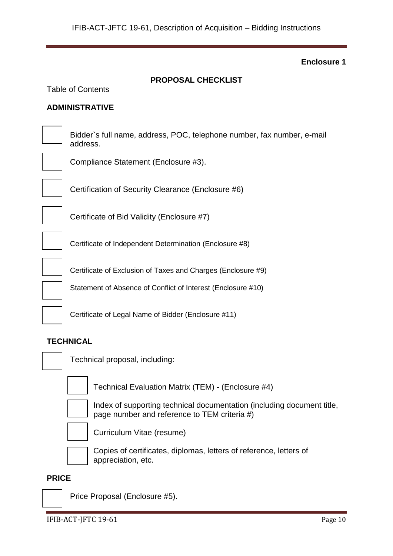**PROPOSAL CHECKLIST**

# **Enclosure 1**

| <b>ADMINISTRATIVE</b>                                                              |
|------------------------------------------------------------------------------------|
| Bidder's full name, address, POC, telephone number, fax number, e-mail<br>address. |
| Compliance Statement (Enclosure #3).                                               |
| Certification of Security Clearance (Enclosure #6)                                 |
| Certificate of Bid Validity (Enclosure #7)                                         |
| Certificate of Independent Determination (Enclosure #8)                            |
| Certificate of Exclusion of Taxes and Charges (Enclosure #9)                       |
| Statement of Absence of Conflict of Interest (Enclosure #10)                       |
| Certificate of Legal Name of Bidder (Enclosure #11)                                |
|                                                                                    |

# **TECHNICAL**

Table of Contents



Technical proposal, including:



Technical Evaluation Matrix (TEM) - (Enclosure #4)



Index of supporting technical documentation (including document title, page number and reference to TEM criteria #)



Curriculum Vitae (resume)



Copies of certificates, diplomas, letters of reference, letters of appreciation, etc.

# **PRICE**

Price Proposal (Enclosure #5).

IFIB-ACT-JFTC 19-61 Page 10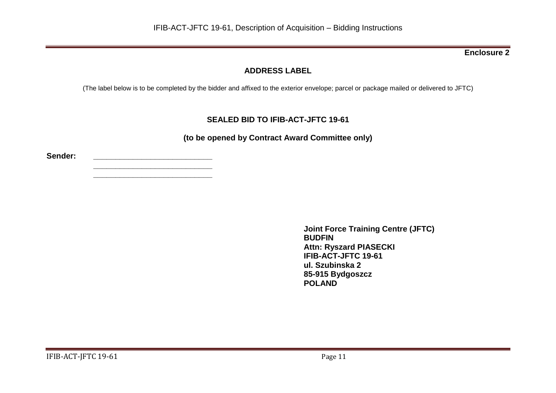# **ADDRESS LABEL**

(The label below is to be completed by the bidder and affixed to the exterior envelope; parcel or package mailed or delivered to JFTC)

# **SEALED BID TO IFIB-ACT-JFTC 19-61**

**(to be opened by Contract Award Committee only)**

**Sender: \_\_\_\_\_\_\_\_\_\_\_\_\_\_\_\_\_\_\_\_\_\_\_\_\_\_\_**

**\_\_\_\_\_\_\_\_\_\_\_\_\_\_\_\_\_\_\_\_\_\_\_\_\_\_\_ \_\_\_\_\_\_\_\_\_\_\_\_\_\_\_\_\_\_\_\_\_\_\_\_\_\_\_**

> **Joint Force Training Centre (JFTC) BUDFIN Attn: Ryszard PIASECKI IFIB-ACT-JFTC 19-61 ul. Szubinska 2 85-915 Bydgoszcz POLAND**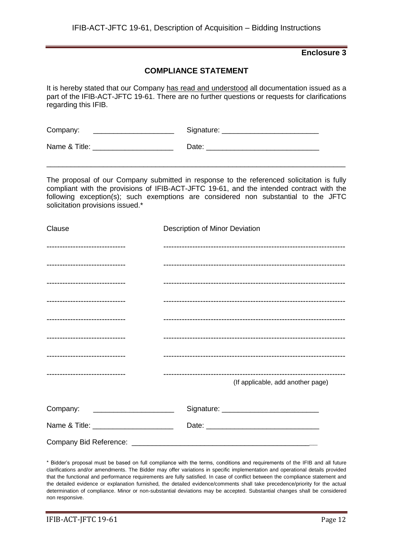# **COMPLIANCE STATEMENT**

It is hereby stated that our Company has read and understood all documentation issued as a part of the IFIB-ACT-JFTC 19-61. There are no further questions or requests for clarifications regarding this IFIB.

| Company:      | Signature: |
|---------------|------------|
| Name & Title: | Date:      |

The proposal of our Company submitted in response to the referenced solicitation is fully compliant with the provisions of IFIB-ACT-JFTC 19-61, and the intended contract with the following exception(s); such exemptions are considered non substantial to the JFTC solicitation provisions issued.\*

\_\_\_\_\_\_\_\_\_\_\_\_\_\_\_\_\_\_\_\_\_\_\_\_\_\_\_\_\_\_\_\_\_\_\_\_\_\_\_\_\_\_\_\_\_\_\_\_\_\_\_\_\_\_\_\_\_\_\_\_\_\_\_\_\_\_\_\_\_\_\_\_\_\_

| Clause                                 | Description of Minor Deviation    |
|----------------------------------------|-----------------------------------|
| -------------------------------        |                                   |
| -------------------------------        |                                   |
| -------------------------------        |                                   |
| -------------------------------        |                                   |
| -------------------------------        |                                   |
| -------------------------------        |                                   |
| -------------------------------        |                                   |
| -------------------------------        | (If applicable, add another page) |
|                                        |                                   |
| Company: ________________________      |                                   |
| Name & Title: ________________________ |                                   |
|                                        |                                   |

\* Bidder's proposal must be based on full compliance with the terms, conditions and requirements of the IFIB and all future clarifications and/or amendments. The Bidder may offer variations in specific implementation and operational details provided that the functional and performance requirements are fully satisfied. In case of conflict between the compliance statement and the detailed evidence or explanation furnished, the detailed evidence/comments shall take precedence/priority for the actual determination of compliance. Minor or non-substantial deviations may be accepted. Substantial changes shall be considered non responsive.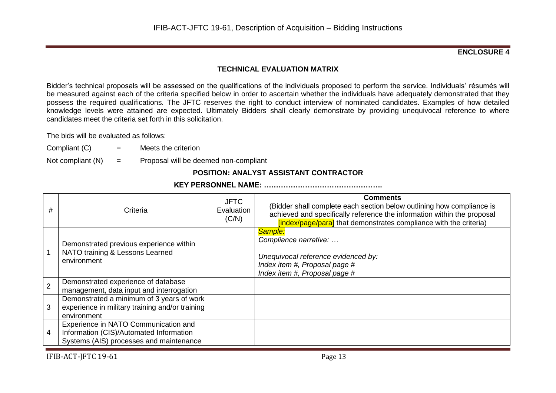## **ENCLOSURE 4**

# **TECHNICAL EVALUATION MATRIX**

Bidder's technical proposals will be assessed on the qualifications of the individuals proposed to perform the service. Individuals' résumés will be measured against each of the criteria specified below in order to ascertain whether the individuals have adequately demonstrated that they possess the required qualifications. The JFTC reserves the right to conduct interview of nominated candidates. Examples of how detailed knowledge levels were attained are expected. Ultimately Bidders shall clearly demonstrate by providing unequivocal reference to where candidates meet the criteria set forth in this solicitation.

The bids will be evaluated as follows:

- Compliant  $(C)$  = Meets the criterion
- Not compliant  $(N)$  = Proposal will be deemed non-compliant

# **POSITION: ANALYST ASSISTANT CONTRACTOR**

### **KEY PERSONNEL NAME: ………………………………………….**

| #              | Criteria                                                                                                                   | <b>JFTC</b><br>Evaluation<br>(C/N) | <b>Comments</b><br>(Bidder shall complete each section below outlining how compliance is<br>achieved and specifically reference the information within the proposal<br>[index/page/para] that demonstrates compliance with the criteria) |
|----------------|----------------------------------------------------------------------------------------------------------------------------|------------------------------------|------------------------------------------------------------------------------------------------------------------------------------------------------------------------------------------------------------------------------------------|
|                | Demonstrated previous experience within<br>NATO training & Lessons Learned<br>environment                                  |                                    | Sample:<br>Compliance narrative:<br>Unequivocal reference evidenced by:<br>Index item #, Proposal page #<br>Index item #, Proposal page #                                                                                                |
| $\overline{2}$ | Demonstrated experience of database<br>management, data input and interrogation                                            |                                    |                                                                                                                                                                                                                                          |
| 3              | Demonstrated a minimum of 3 years of work<br>experience in military training and/or training<br>environment                |                                    |                                                                                                                                                                                                                                          |
| 4              | Experience in NATO Communication and<br>Information (CIS)/Automated Information<br>Systems (AIS) processes and maintenance |                                    |                                                                                                                                                                                                                                          |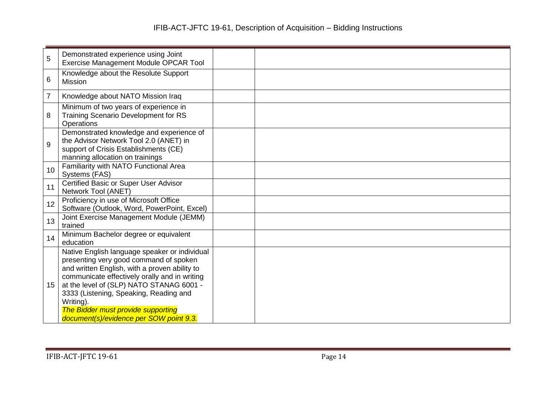| 5  | Demonstrated experience using Joint<br>Exercise Management Module OPCAR Tool                                                                                                                                                                                                                                                                                                  |  |
|----|-------------------------------------------------------------------------------------------------------------------------------------------------------------------------------------------------------------------------------------------------------------------------------------------------------------------------------------------------------------------------------|--|
| 6  | Knowledge about the Resolute Support<br><b>Mission</b>                                                                                                                                                                                                                                                                                                                        |  |
| 7  | Knowledge about NATO Mission Iraq                                                                                                                                                                                                                                                                                                                                             |  |
| 8  | Minimum of two years of experience in<br>Training Scenario Development for RS<br>Operations                                                                                                                                                                                                                                                                                   |  |
| 9  | Demonstrated knowledge and experience of<br>the Advisor Network Tool 2.0 (ANET) in<br>support of Crisis Establishments (CE)<br>manning allocation on trainings                                                                                                                                                                                                                |  |
| 10 | Familiarity with NATO Functional Area<br>Systems (FAS)                                                                                                                                                                                                                                                                                                                        |  |
| 11 | Certified Basic or Super User Advisor<br>Network Tool (ANET)                                                                                                                                                                                                                                                                                                                  |  |
| 12 | Proficiency in use of Microsoft Office<br>Software (Outlook, Word, PowerPoint, Excel)                                                                                                                                                                                                                                                                                         |  |
| 13 | Joint Exercise Management Module (JEMM)<br>trained                                                                                                                                                                                                                                                                                                                            |  |
| 14 | Minimum Bachelor degree or equivalent<br>education                                                                                                                                                                                                                                                                                                                            |  |
| 15 | Native English language speaker or individual<br>presenting very good command of spoken<br>and written English, with a proven ability to<br>communicate effectively orally and in writing<br>at the level of (SLP) NATO STANAG 6001 -<br>3333 (Listening, Speaking, Reading and<br>Writing).<br>The Bidder must provide supporting<br>document(s)/evidence per SOW point 9.3. |  |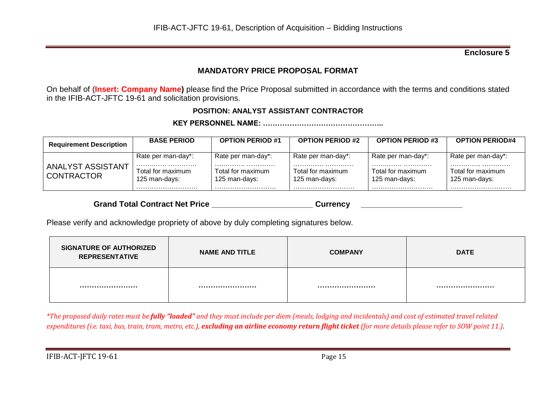# **MANDATORY PRICE PROPOSAL FORMAT**

On behalf of (**Insert: Company Name)** please find the Price Proposal submitted in accordance with the terms and conditions stated in the IFIB-ACT-JFTC 19-61 and solicitation provisions.

# **POSITION: ANALYST ASSISTANT CONTRACTOR**

**KEY PERSONNEL NAME: …………………………………………..**

| <b>Requirement Description</b>  | <b>BASE PERIOD</b>                                       | <b>OPTION PERIOD #1</b>                                  | <b>OPTION PERIOD #2</b>                                      | <b>OPTION PERIOD #3</b>                                  | <b>OPTION PERIOD#4</b>                                   |
|---------------------------------|----------------------------------------------------------|----------------------------------------------------------|--------------------------------------------------------------|----------------------------------------------------------|----------------------------------------------------------|
| ANALYST ASSISTANT<br>CONTRACTOR | Rate per man-day*:<br>Total for maximum<br>125 man-days: | Rate per man-day*:<br>Total for maximum<br>125 man-days: | Rate per man-day*:<br>Total for maximum<br>125 man-days:<br> | Rate per man-day*:<br>Total for maximum<br>125 man-days: | Rate per man-day*:<br>Total for maximum<br>125 man-days: |

Grand Total Contract Net Price **Example 20 and Total Contract Net Price Currency** 

Please verify and acknowledge propriety of above by duly completing signatures below.

| <b>SIGNATURE OF AUTHORIZED</b><br><b>REPRESENTATIVE</b> | <b>NAME AND TITLE</b> | <b>COMPANY</b> | <b>DATE</b> |
|---------------------------------------------------------|-----------------------|----------------|-------------|
|                                                         |                       |                |             |

*\*The proposed daily rates must be fully "loaded" and they must include per diem (meals, lodging and incidentals) and cost of estimated travel related expenditures (i.e. taxi, bus, train, tram, metro, etc.), excluding an airline economy return flight ticket (for more details please refer to SOW point 11.).*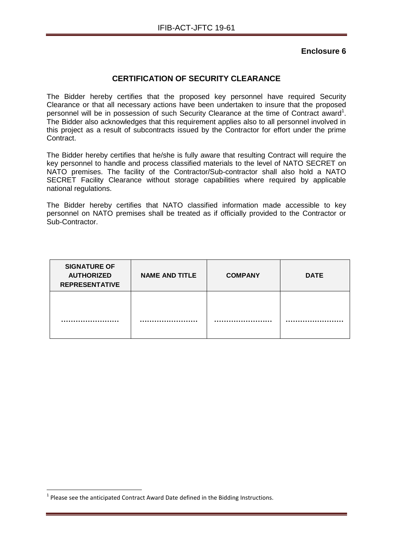# **CERTIFICATION OF SECURITY CLEARANCE**

The Bidder hereby certifies that the proposed key personnel have required Security Clearance or that all necessary actions have been undertaken to insure that the proposed personnel will be in possession of such Security Clearance at the time of Contract award<sup>1</sup>. The Bidder also acknowledges that this requirement applies also to all personnel involved in this project as a result of subcontracts issued by the Contractor for effort under the prime Contract.

The Bidder hereby certifies that he/she is fully aware that resulting Contract will require the key personnel to handle and process classified materials to the level of NATO SECRET on NATO premises. The facility of the Contractor/Sub-contractor shall also hold a NATO SECRET Facility Clearance without storage capabilities where required by applicable national regulations.

The Bidder hereby certifies that NATO classified information made accessible to key personnel on NATO premises shall be treated as if officially provided to the Contractor or Sub-Contractor.

| <b>SIGNATURE OF</b><br><b>AUTHORIZED</b><br><b>REPRESENTATIVE</b> | <b>NAME AND TITLE</b> | <b>COMPANY</b> | <b>DATE</b> |
|-------------------------------------------------------------------|-----------------------|----------------|-------------|
|                                                                   |                       |                |             |

1

 $<sup>1</sup>$  Please see the anticipated Contract Award Date defined in the Bidding Instructions.</sup>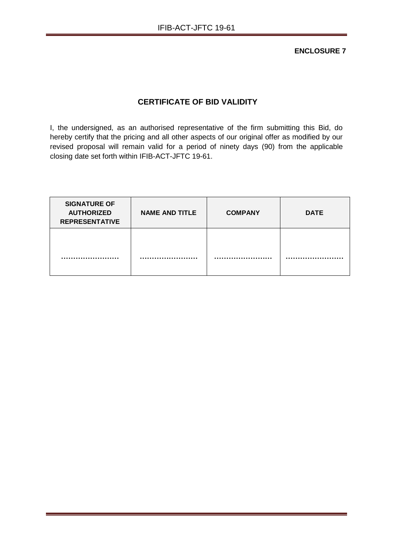**ENCLOSURE 7**

# **CERTIFICATE OF BID VALIDITY**

I, the undersigned, as an authorised representative of the firm submitting this Bid, do hereby certify that the pricing and all other aspects of our original offer as modified by our revised proposal will remain valid for a period of ninety days (90) from the applicable closing date set forth within IFIB-ACT-JFTC 19-61.

| <b>SIGNATURE OF</b><br><b>AUTHORIZED</b><br><b>REPRESENTATIVE</b> | <b>NAME AND TITLE</b> | <b>COMPANY</b> | <b>DATE</b> |
|-------------------------------------------------------------------|-----------------------|----------------|-------------|
|                                                                   |                       |                |             |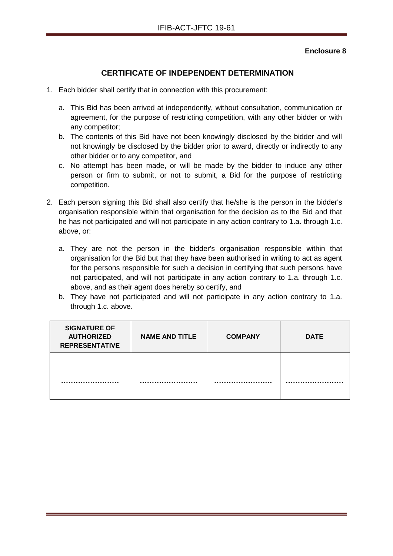# **CERTIFICATE OF INDEPENDENT DETERMINATION**

- 1. Each bidder shall certify that in connection with this procurement:
	- a. This Bid has been arrived at independently, without consultation, communication or agreement, for the purpose of restricting competition, with any other bidder or with any competitor;
	- b. The contents of this Bid have not been knowingly disclosed by the bidder and will not knowingly be disclosed by the bidder prior to award, directly or indirectly to any other bidder or to any competitor, and
	- c. No attempt has been made, or will be made by the bidder to induce any other person or firm to submit, or not to submit, a Bid for the purpose of restricting competition.
- 2. Each person signing this Bid shall also certify that he/she is the person in the bidder's organisation responsible within that organisation for the decision as to the Bid and that he has not participated and will not participate in any action contrary to 1.a. through 1.c. above, or:
	- a. They are not the person in the bidder's organisation responsible within that organisation for the Bid but that they have been authorised in writing to act as agent for the persons responsible for such a decision in certifying that such persons have not participated, and will not participate in any action contrary to 1.a. through 1.c. above, and as their agent does hereby so certify, and
	- b. They have not participated and will not participate in any action contrary to 1.a. through 1.c. above.

| <b>SIGNATURE OF</b><br><b>AUTHORIZED</b><br><b>REPRESENTATIVE</b> | <b>NAME AND TITLE</b> | <b>COMPANY</b> | <b>DATE</b> |
|-------------------------------------------------------------------|-----------------------|----------------|-------------|
|                                                                   |                       |                |             |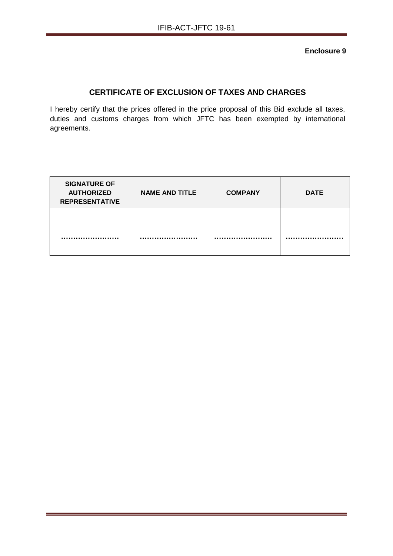# **CERTIFICATE OF EXCLUSION OF TAXES AND CHARGES**

I hereby certify that the prices offered in the price proposal of this Bid exclude all taxes, duties and customs charges from which JFTC has been exempted by international agreements.

| <b>SIGNATURE OF</b><br><b>AUTHORIZED</b><br><b>REPRESENTATIVE</b> | <b>NAME AND TITLE</b> | <b>COMPANY</b> | <b>DATE</b> |
|-------------------------------------------------------------------|-----------------------|----------------|-------------|
|                                                                   |                       |                |             |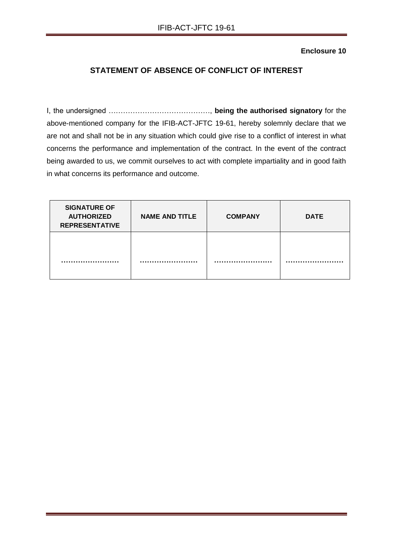# **STATEMENT OF ABSENCE OF CONFLICT OF INTEREST**

I, the undersigned ……………………………………, **being the authorised signatory** for the above-mentioned company for the IFIB-ACT-JFTC 19-61, hereby solemnly declare that we are not and shall not be in any situation which could give rise to a conflict of interest in what concerns the performance and implementation of the contract. In the event of the contract being awarded to us, we commit ourselves to act with complete impartiality and in good faith in what concerns its performance and outcome.

| <b>SIGNATURE OF</b><br><b>AUTHORIZED</b><br><b>REPRESENTATIVE</b> | <b>NAME AND TITLE</b> | <b>COMPANY</b> | <b>DATE</b> |
|-------------------------------------------------------------------|-----------------------|----------------|-------------|
|                                                                   |                       |                |             |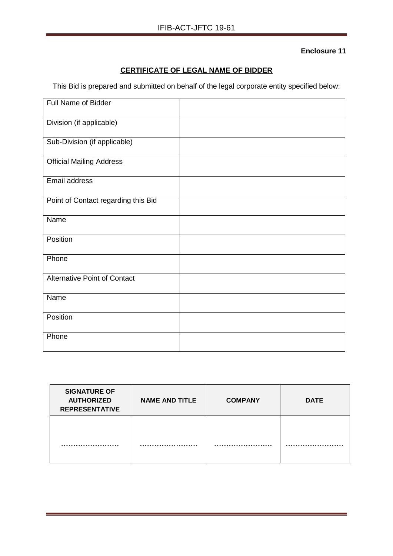# **CERTIFICATE OF LEGAL NAME OF BIDDER**

This Bid is prepared and submitted on behalf of the legal corporate entity specified below:

| <b>Full Name of Bidder</b>          |  |
|-------------------------------------|--|
| Division (if applicable)            |  |
| Sub-Division (if applicable)        |  |
| <b>Official Mailing Address</b>     |  |
| Email address                       |  |
| Point of Contact regarding this Bid |  |
| Name                                |  |
| Position                            |  |
| Phone                               |  |
| <b>Alternative Point of Contact</b> |  |
| Name                                |  |
| Position                            |  |
| Phone                               |  |

| <b>SIGNATURE OF</b><br><b>AUTHORIZED</b><br><b>REPRESENTATIVE</b> | <b>NAME AND TITLE</b> | <b>COMPANY</b> | <b>DATE</b> |
|-------------------------------------------------------------------|-----------------------|----------------|-------------|
|                                                                   |                       |                |             |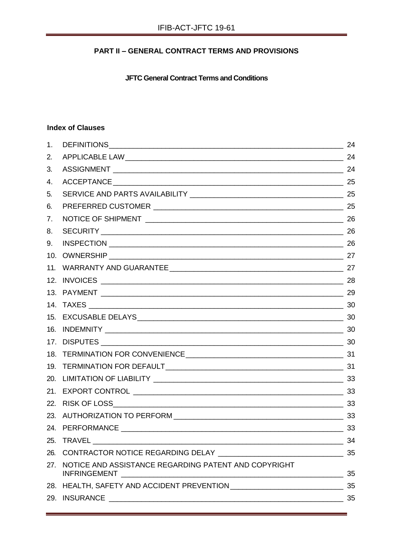# **PART II – GENERAL CONTRACT TERMS AND PROVISIONS**

**JFTC General Contract Terms and Conditions**

# **Index of Clauses**

| 1.  |                                                          | 24 |
|-----|----------------------------------------------------------|----|
| 2.  |                                                          | 24 |
| 3.  |                                                          |    |
| 4.  |                                                          |    |
| 5.  |                                                          |    |
| 6.  |                                                          |    |
| 7.  |                                                          |    |
| 8.  |                                                          |    |
| 9.  |                                                          |    |
| 10. |                                                          |    |
|     |                                                          |    |
|     |                                                          |    |
|     | 13. PAYMENT 29                                           |    |
|     |                                                          |    |
|     |                                                          |    |
|     |                                                          |    |
|     |                                                          |    |
|     |                                                          |    |
|     |                                                          |    |
|     |                                                          |    |
|     |                                                          |    |
|     |                                                          |    |
|     |                                                          |    |
|     |                                                          | 33 |
|     |                                                          | 34 |
|     |                                                          | 35 |
|     | 27. NOTICE AND ASSISTANCE REGARDING PATENT AND COPYRIGHT | 35 |
|     |                                                          | 35 |
|     |                                                          |    |
|     |                                                          |    |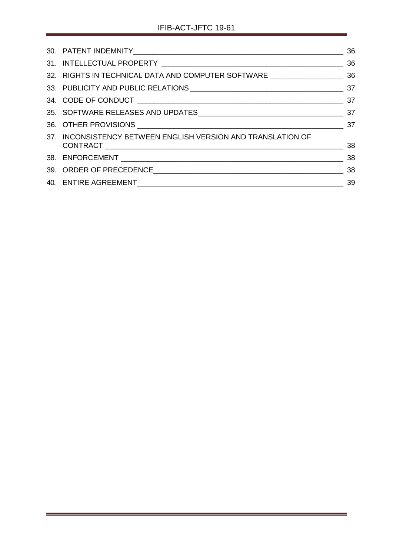<span id="page-22-0"></span>

|                                                                                  | 36                                            |
|----------------------------------------------------------------------------------|-----------------------------------------------|
|                                                                                  |                                               |
| 36 32. RIGHTS IN TECHNICAL DATA AND COMPUTER SOFTWARE __________________________ |                                               |
|                                                                                  |                                               |
|                                                                                  |                                               |
|                                                                                  |                                               |
|                                                                                  |                                               |
| 37. INCONSISTENCY BETWEEN ENGLISH VERSION AND TRANSLATION OF                     |                                               |
|                                                                                  | $\overline{38}$                               |
|                                                                                  |                                               |
|                                                                                  | $\frac{1}{\sqrt{1-\frac{1}{2}}}\frac{39}{25}$ |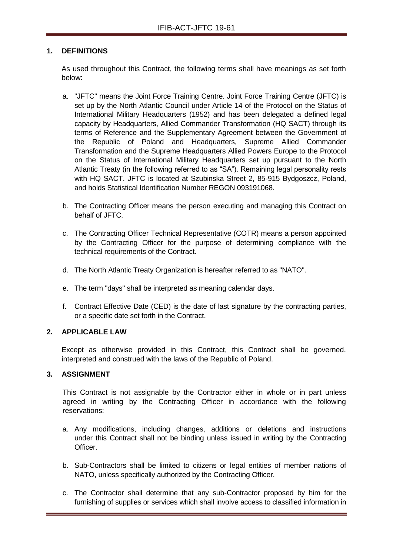## **1. DEFINITIONS**

As used throughout this Contract, the following terms shall have meanings as set forth below:

- a. "JFTC" means the Joint Force Training Centre. Joint Force Training Centre (JFTC) is set up by the North Atlantic Council under Article 14 of the Protocol on the Status of International Military Headquarters (1952) and has been delegated a defined legal capacity by Headquarters, Allied Commander Transformation (HQ SACT) through its terms of Reference and the Supplementary Agreement between the Government of the Republic of Poland and Headquarters, Supreme Allied Commander Transformation and the Supreme Headquarters Allied Powers Europe to the Protocol on the Status of International Military Headquarters set up pursuant to the North Atlantic Treaty (in the following referred to as "SA"). Remaining legal personality rests with HQ SACT. JFTC is located at Szubinska Street 2, 85-915 Bydgoszcz, Poland, and holds Statistical Identification Number REGON 093191068.
- b. The Contracting Officer means the person executing and managing this Contract on behalf of JFTC.
- c. The Contracting Officer Technical Representative (COTR) means a person appointed by the Contracting Officer for the purpose of determining compliance with the technical requirements of the Contract.
- d. The North Atlantic Treaty Organization is hereafter referred to as "NATO".
- e. The term "days" shall be interpreted as meaning calendar days.
- f. Contract Effective Date (CED) is the date of last signature by the contracting parties, or a specific date set forth in the Contract.

#### <span id="page-23-0"></span>**2. APPLICABLE LAW**

Except as otherwise provided in this Contract, this Contract shall be governed, interpreted and construed with the laws of the Republic of Poland.

# <span id="page-23-1"></span>**3. ASSIGNMENT**

This Contract is not assignable by the Contractor either in whole or in part unless agreed in writing by the Contracting Officer in accordance with the following reservations:

- a. Any modifications, including changes, additions or deletions and instructions under this Contract shall not be binding unless issued in writing by the Contracting **Officer**
- b. Sub-Contractors shall be limited to citizens or legal entities of member nations of NATO, unless specifically authorized by the Contracting Officer.
- c. The Contractor shall determine that any sub-Contractor proposed by him for the furnishing of supplies or services which shall involve access to classified information in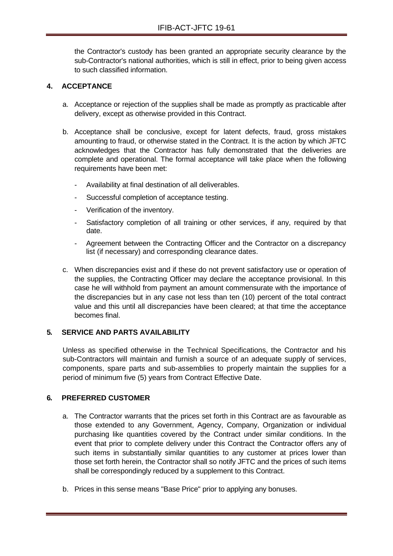the Contractor's custody has been granted an appropriate security clearance by the sub-Contractor's national authorities, which is still in effect, prior to being given access to such classified information.

# <span id="page-24-0"></span>**4. ACCEPTANCE**

- a. Acceptance or rejection of the supplies shall be made as promptly as practicable after delivery, except as otherwise provided in this Contract.
- b. Acceptance shall be conclusive, except for latent defects, fraud, gross mistakes amounting to fraud, or otherwise stated in the Contract. It is the action by which JFTC acknowledges that the Contractor has fully demonstrated that the deliveries are complete and operational. The formal acceptance will take place when the following requirements have been met:
	- Availability at final destination of all deliverables.
	- Successful completion of acceptance testing.
	- Verification of the inventory.
	- Satisfactory completion of all training or other services, if any, required by that date.
	- Agreement between the Contracting Officer and the Contractor on a discrepancy list (if necessary) and corresponding clearance dates.
- c. When discrepancies exist and if these do not prevent satisfactory use or operation of the supplies, the Contracting Officer may declare the acceptance provisional. In this case he will withhold from payment an amount commensurate with the importance of the discrepancies but in any case not less than ten (10) percent of the total contract value and this until all discrepancies have been cleared; at that time the acceptance becomes final.

# <span id="page-24-1"></span>**5. SERVICE AND PARTS AVAILABILITY**

Unless as specified otherwise in the Technical Specifications, the Contractor and his sub-Contractors will maintain and furnish a source of an adequate supply of services, components, spare parts and sub-assemblies to properly maintain the supplies for a period of minimum five (5) years from Contract Effective Date.

#### <span id="page-24-2"></span>**6. PREFERRED CUSTOMER**

- a. The Contractor warrants that the prices set forth in this Contract are as favourable as those extended to any Government, Agency, Company, Organization or individual purchasing like quantities covered by the Contract under similar conditions. In the event that prior to complete delivery under this Contract the Contractor offers any of such items in substantially similar quantities to any customer at prices lower than those set forth herein, the Contractor shall so notify JFTC and the prices of such items shall be correspondingly reduced by a supplement to this Contract.
- b. Prices in this sense means "Base Price" prior to applying any bonuses.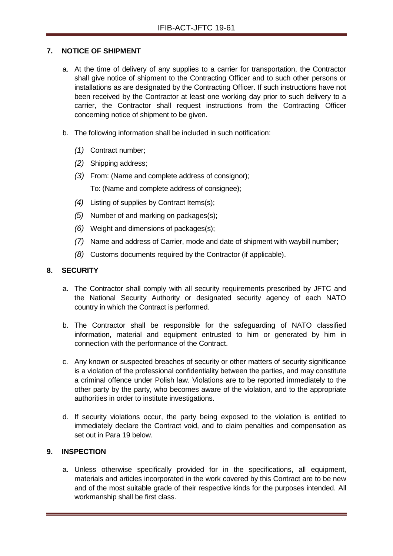## <span id="page-25-0"></span>**7. NOTICE OF SHIPMENT**

- a. At the time of delivery of any supplies to a carrier for transportation, the Contractor shall give notice of shipment to the Contracting Officer and to such other persons or installations as are designated by the Contracting Officer. If such instructions have not been received by the Contractor at least one working day prior to such delivery to a carrier, the Contractor shall request instructions from the Contracting Officer concerning notice of shipment to be given.
- b. The following information shall be included in such notification:
	- *(1)* Contract number;
	- *(2)* Shipping address;
	- *(3)* From: (Name and complete address of consignor); To: (Name and complete address of consignee);
	- *(4)* Listing of supplies by Contract Items(s);
	- *(5)* Number of and marking on packages(s);
	- *(6)* Weight and dimensions of packages(s);
	- *(7)* Name and address of Carrier, mode and date of shipment with waybill number;
	- *(8)* Customs documents required by the Contractor (if applicable).

# <span id="page-25-1"></span>**8. SECURITY**

- a. The Contractor shall comply with all security requirements prescribed by JFTC and the National Security Authority or designated security agency of each NATO country in which the Contract is performed.
- b. The Contractor shall be responsible for the safeguarding of NATO classified information, material and equipment entrusted to him or generated by him in connection with the performance of the Contract.
- c. Any known or suspected breaches of security or other matters of security significance is a violation of the professional confidentiality between the parties, and may constitute a criminal offence under Polish law. Violations are to be reported immediately to the other party by the party, who becomes aware of the violation, and to the appropriate authorities in order to institute investigations.
- d. If security violations occur, the party being exposed to the violation is entitled to immediately declare the Contract void, and to claim penalties and compensation as set out in Para 19 below.

#### <span id="page-25-2"></span>**9. INSPECTION**

a. Unless otherwise specifically provided for in the specifications, all equipment, materials and articles incorporated in the work covered by this Contract are to be new and of the most suitable grade of their respective kinds for the purposes intended. All workmanship shall be first class.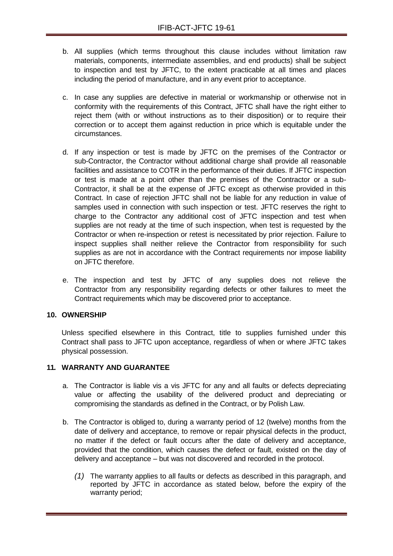- b. All supplies (which terms throughout this clause includes without limitation raw materials, components, intermediate assemblies, and end products) shall be subject to inspection and test by JFTC, to the extent practicable at all times and places including the period of manufacture, and in any event prior to acceptance.
- c. In case any supplies are defective in material or workmanship or otherwise not in conformity with the requirements of this Contract, JFTC shall have the right either to reject them (with or without instructions as to their disposition) or to require their correction or to accept them against reduction in price which is equitable under the circumstances.
- d. If any inspection or test is made by JFTC on the premises of the Contractor or sub-Contractor, the Contractor without additional charge shall provide all reasonable facilities and assistance to COTR in the performance of their duties. If JFTC inspection or test is made at a point other than the premises of the Contractor or a sub-Contractor, it shall be at the expense of JFTC except as otherwise provided in this Contract. In case of rejection JFTC shall not be liable for any reduction in value of samples used in connection with such inspection or test. JFTC reserves the right to charge to the Contractor any additional cost of JFTC inspection and test when supplies are not ready at the time of such inspection, when test is requested by the Contractor or when re-inspection or retest is necessitated by prior rejection. Failure to inspect supplies shall neither relieve the Contractor from responsibility for such supplies as are not in accordance with the Contract requirements nor impose liability on JFTC therefore.
- e. The inspection and test by JFTC of any supplies does not relieve the Contractor from any responsibility regarding defects or other failures to meet the Contract requirements which may be discovered prior to acceptance.

#### <span id="page-26-0"></span>**10. OWNERSHIP**

Unless specified elsewhere in this Contract, title to supplies furnished under this Contract shall pass to JFTC upon acceptance, regardless of when or where JFTC takes physical possession.

#### <span id="page-26-1"></span>**11. WARRANTY AND GUARANTEE**

- a. The Contractor is liable vis a vis JFTC for any and all faults or defects depreciating value or affecting the usability of the delivered product and depreciating or compromising the standards as defined in the Contract, or by Polish Law.
- b. The Contractor is obliged to, during a warranty period of 12 (twelve) months from the date of delivery and acceptance, to remove or repair physical defects in the product, no matter if the defect or fault occurs after the date of delivery and acceptance, provided that the condition, which causes the defect or fault, existed on the day of delivery and acceptance – but was not discovered and recorded in the protocol.
	- *(1)* The warranty applies to all faults or defects as described in this paragraph, and reported by JFTC in accordance as stated below, before the expiry of the warranty period;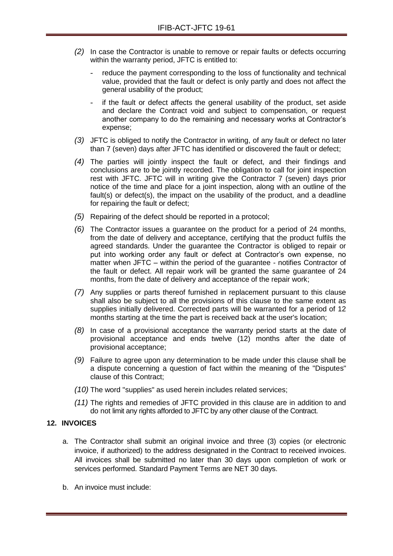- *(2)* In case the Contractor is unable to remove or repair faults or defects occurring within the warranty period, JFTC is entitled to:
	- reduce the payment corresponding to the loss of functionality and technical value, provided that the fault or defect is only partly and does not affect the general usability of the product;
	- if the fault or defect affects the general usability of the product, set aside and declare the Contract void and subject to compensation, or request another company to do the remaining and necessary works at Contractor's expense;
- *(3)* JFTC is obliged to notify the Contractor in writing, of any fault or defect no later than 7 (seven) days after JFTC has identified or discovered the fault or defect;
- *(4)* The parties will jointly inspect the fault or defect, and their findings and conclusions are to be jointly recorded. The obligation to call for joint inspection rest with JFTC. JFTC will in writing give the Contractor 7 (seven) days prior notice of the time and place for a joint inspection, along with an outline of the fault(s) or defect(s), the impact on the usability of the product, and a deadline for repairing the fault or defect;
- *(5)* Repairing of the defect should be reported in a protocol;
- *(6)* The Contractor issues a guarantee on the product for a period of 24 months, from the date of delivery and acceptance, certifying that the product fulfils the agreed standards. Under the guarantee the Contractor is obliged to repair or put into working order any fault or defect at Contractor's own expense, no matter when JFTC – within the period of the guarantee - notifies Contractor of the fault or defect. All repair work will be granted the same guarantee of 24 months, from the date of delivery and acceptance of the repair work;
- *(7)* Any supplies or parts thereof furnished in replacement pursuant to this clause shall also be subject to all the provisions of this clause to the same extent as supplies initially delivered. Corrected parts will be warranted for a period of 12 months starting at the time the part is received back at the user's location;
- *(8)* In case of a provisional acceptance the warranty period starts at the date of provisional acceptance and ends twelve (12) months after the date of provisional acceptance;
- *(9)* Failure to agree upon any determination to be made under this clause shall be a dispute concerning a question of fact within the meaning of the "Disputes" clause of this Contract;
- *(10)* The word "supplies" as used herein includes related services;
- *(11)* The rights and remedies of JFTC provided in this clause are in addition to and do not limit any rights afforded to JFTC by any other clause of the Contract.

#### <span id="page-27-0"></span>**12. INVOICES**

- a. The Contractor shall submit an original invoice and three (3) copies (or electronic invoice, if authorized) to the address designated in the Contract to received invoices. All invoices shall be submitted no later than 30 days upon completion of work or services performed. Standard Payment Terms are NET 30 days.
- b. An invoice must include: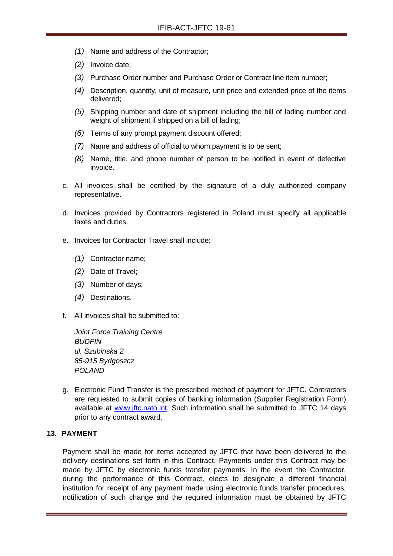- *(1)* Name and address of the Contractor;
- *(2)* Invoice date;
- *(3)* Purchase Order number and Purchase Order or Contract line item number;
- *(4)* Description, quantity, unit of measure, unit price and extended price of the items delivered;
- *(5)* Shipping number and date of shipment including the bill of lading number and weight of shipment if shipped on a bill of lading;
- *(6)* Terms of any prompt payment discount offered;
- *(7)* Name and address of official to whom payment is to be sent;
- *(8)* Name, title, and phone number of person to be notified in event of defective invoice.
- c. All invoices shall be certified by the signature of a duly authorized company representative.
- d. Invoices provided by Contractors registered in Poland must specify all applicable taxes and duties.
- e. Invoices for Contractor Travel shall include:
	- *(1)* Contractor name;
	- *(2)* Date of Travel;
	- *(3)* Number of days;
	- *(4)* Destinations.
- f. All invoices shall be submitted to:

*Joint Force Training Centre BUDFIN ul. Szubinska 2 85-915 Bydgoszcz POLAND*

g. Electronic Fund Transfer is the prescribed method of payment for JFTC. Contractors are requested to submit copies of banking information (Supplier Registration Form) available at [www.jftc.nato.int.](http://www.jftc.nato.int/) Such information shall be submitted to JFTC 14 days prior to any contract award.

## <span id="page-28-0"></span>**13. PAYMENT**

Payment shall be made for items accepted by JFTC that have been delivered to the delivery destinations set forth in this Contract. Payments under this Contract may be made by JFTC by electronic funds transfer payments. In the event the Contractor, during the performance of this Contract, elects to designate a different financial institution for receipt of any payment made using electronic funds transfer procedures, notification of such change and the required information must be obtained by JFTC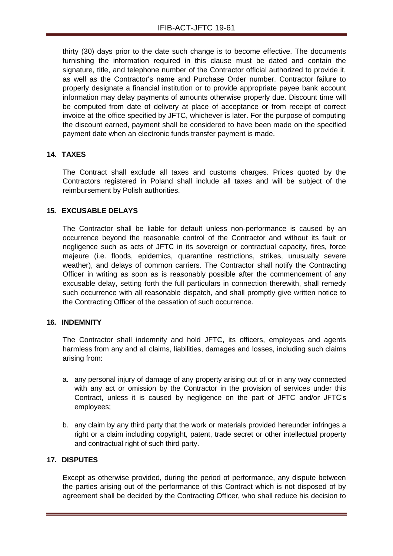thirty (30) days prior to the date such change is to become effective. The documents furnishing the information required in this clause must be dated and contain the signature, title, and telephone number of the Contractor official authorized to provide it, as well as the Contractor's name and Purchase Order number. Contractor failure to properly designate a financial institution or to provide appropriate payee bank account information may delay payments of amounts otherwise properly due. Discount time will be computed from date of delivery at place of acceptance or from receipt of correct invoice at the office specified by JFTC, whichever is later. For the purpose of computing the discount earned, payment shall be considered to have been made on the specified payment date when an electronic funds transfer payment is made.

#### <span id="page-29-0"></span>**14. TAXES**

The Contract shall exclude all taxes and customs charges. Prices quoted by the Contractors registered in Poland shall include all taxes and will be subject of the reimbursement by Polish authorities.

#### <span id="page-29-1"></span>**15. EXCUSABLE DELAYS**

The Contractor shall be liable for default unless non-performance is caused by an occurrence beyond the reasonable control of the Contractor and without its fault or negligence such as acts of JFTC in its sovereign or contractual capacity, fires, force majeure (i.e. floods, epidemics, quarantine restrictions, strikes, unusually severe weather), and delays of common carriers. The Contractor shall notify the Contracting Officer in writing as soon as is reasonably possible after the commencement of any excusable delay, setting forth the full particulars in connection therewith, shall remedy such occurrence with all reasonable dispatch, and shall promptly give written notice to the Contracting Officer of the cessation of such occurrence.

#### <span id="page-29-2"></span>**16. INDEMNITY**

The Contractor shall indemnify and hold JFTC, its officers, employees and agents harmless from any and all claims, liabilities, damages and losses, including such claims arising from:

- a. any personal injury of damage of any property arising out of or in any way connected with any act or omission by the Contractor in the provision of services under this Contract, unless it is caused by negligence on the part of JFTC and/or JFTC's employees;
- b. any claim by any third party that the work or materials provided hereunder infringes a right or a claim including copyright, patent, trade secret or other intellectual property and contractual right of such third party.

#### <span id="page-29-3"></span>**17. DISPUTES**

Except as otherwise provided, during the period of performance, any dispute between the parties arising out of the performance of this Contract which is not disposed of by agreement shall be decided by the Contracting Officer, who shall reduce his decision to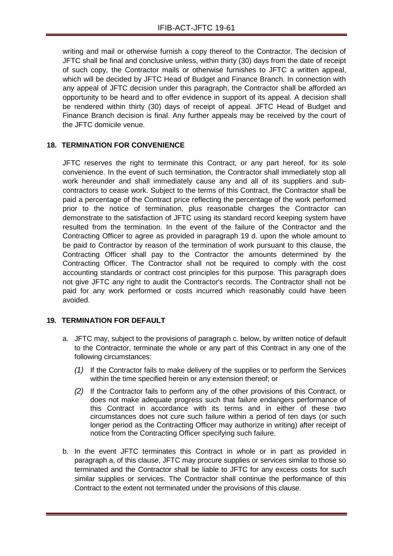writing and mail or otherwise furnish a copy thereof to the Contractor. The decision of JFTC shall be final and conclusive unless, within thirty (30) days from the date of receipt of such copy, the Contractor mails or otherwise furnishes to JFTC a written appeal, which will be decided by JFTC Head of Budget and Finance Branch. In connection with any appeal of JFTC decision under this paragraph, the Contractor shall be afforded an opportunity to be heard and to offer evidence in support of its appeal. A decision shall be rendered within thirty (30) days of receipt of appeal. JFTC Head of Budget and Finance Branch decision is final. Any further appeals may be received by the court of the JFTC domicile venue.

# <span id="page-30-0"></span>**18. TERMINATION FOR CONVENIENCE**

JFTC reserves the right to terminate this Contract, or any part hereof, for its sole convenience. In the event of such termination, the Contractor shall immediately stop all work hereunder and shall immediately cause any and all of its suppliers and subcontractors to cease work. Subject to the terms of this Contract, the Contractor shall be paid a percentage of the Contract price reflecting the percentage of the work performed prior to the notice of termination, plus reasonable charges the Contractor can demonstrate to the satisfaction of JFTC using its standard record keeping system have resulted from the termination. In the event of the failure of the Contractor and the Contracting Officer to agree as provided in paragraph 19 d. upon the whole amount to be paid to Contractor by reason of the termination of work pursuant to this clause, the Contracting Officer shall pay to the Contractor the amounts determined by the Contracting Officer. The Contractor shall not be required to comply with the cost accounting standards or contract cost principles for this purpose. This paragraph does not give JFTC any right to audit the Contractor's records. The Contractor shall not be paid for any work performed or costs incurred which reasonably could have been avoided.

#### <span id="page-30-1"></span>**19. TERMINATION FOR DEFAULT**

- a. JFTC may, subject to the provisions of paragraph c. below, by written notice of default to the Contractor, terminate the whole or any part of this Contract in any one of the following circumstances:
	- *(1)* If the Contractor fails to make delivery of the supplies or to perform the Services within the time specified herein or any extension thereof; or
	- *(2)* If the Contractor fails to perform any of the other provisions of this Contract, or does not make adequate progress such that failure endangers performance of this Contract in accordance with its terms and in either of these two circumstances does not cure such failure within a period of ten days (or such longer period as the Contracting Officer may authorize in writing) after receipt of notice from the Contracting Officer specifying such failure.
- b. In the event JFTC terminates this Contract in whole or in part as provided in paragraph a, of this clause, JFTC may procure supplies or services similar to those so terminated and the Contractor shall be liable to JFTC for any excess costs for such similar supplies or services. The Contractor shall continue the performance of this Contract to the extent not terminated under the provisions of this clause.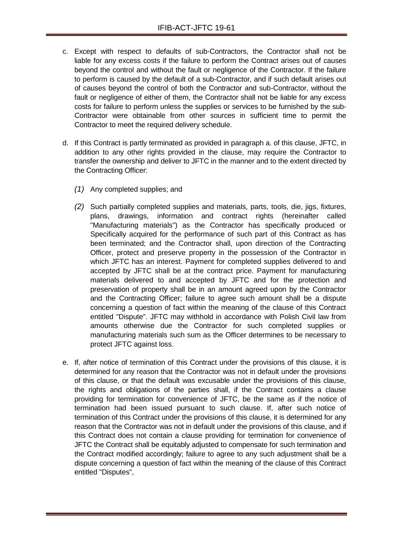- c. Except with respect to defaults of sub-Contractors, the Contractor shall not be liable for any excess costs if the failure to perform the Contract arises out of causes beyond the control and without the fault or negligence of the Contractor. If the failure to perform is caused by the default of a sub-Contractor, and if such default arises out of causes beyond the control of both the Contractor and sub-Contractor, without the fault or negligence of either of them, the Contractor shall not be liable for any excess costs for failure to perform unless the supplies or services to be furnished by the sub-Contractor were obtainable from other sources in sufficient time to permit the Contractor to meet the required delivery schedule.
- d. If this Contract is partly terminated as provided in paragraph a. of this clause, JFTC, in addition to any other rights provided in the clause, may require the Contractor to transfer the ownership and deliver to JFTC in the manner and to the extent directed by the Contracting Officer:
	- *(1)* Any completed supplies; and
	- *(2)* Such partially completed supplies and materials, parts, tools, die, jigs, fixtures, plans, drawings, information and contract rights (hereinafter called "Manufacturing materials") as the Contractor has specifically produced or Specifically acquired for the performance of such part of this Contract as has been terminated; and the Contractor shall, upon direction of the Contracting Officer, protect and preserve property in the possession of the Contractor in which JFTC has an interest. Payment for completed supplies delivered to and accepted by JFTC shall be at the contract price. Payment for manufacturing materials delivered to and accepted by JFTC and for the protection and preservation of property shall be in an amount agreed upon by the Contractor and the Contracting Officer; failure to agree such amount shall be a dispute concerning a question of fact within the meaning of the clause of this Contract entitled "Dispute". JFTC may withhold in accordance with Polish Civil law from amounts otherwise due the Contractor for such completed supplies or manufacturing materials such sum as the Officer determines to be necessary to protect JFTC against loss.
- e. If, after notice of termination of this Contract under the provisions of this clause, it is determined for any reason that the Contractor was not in default under the provisions of this clause, or that the default was excusable under the provisions of this clause, the rights and obligations of the parties shall, if the Contract contains a clause providing for termination for convenience of JFTC, be the same as if the notice of termination had been issued pursuant to such clause. If, after such notice of termination of this Contract under the provisions of this clause, it is determined for any reason that the Contractor was not in default under the provisions of this clause, and if this Contract does not contain a clause providing for termination for convenience of JFTC the Contract shall be equitably adjusted to compensate for such termination and the Contract modified accordingly; failure to agree to any such adjustment shall be a dispute concerning a question of fact within the meaning of the clause of this Contract entitled "Disputes",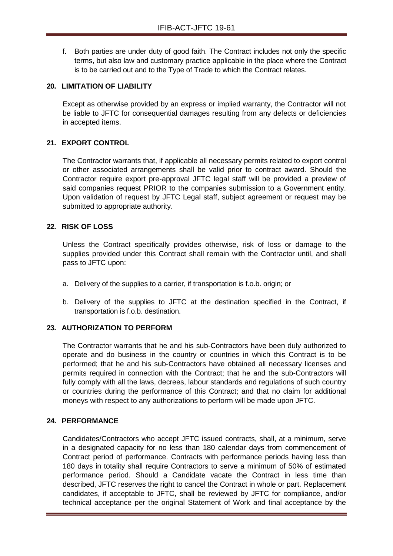f. Both parties are under duty of good faith. The Contract includes not only the specific terms, but also law and customary practice applicable in the place where the Contract is to be carried out and to the Type of Trade to which the Contract relates.

#### <span id="page-32-0"></span>**20. LIMITATION OF LIABILITY**

Except as otherwise provided by an express or implied warranty, the Contractor will not be liable to JFTC for consequential damages resulting from any defects or deficiencies in accepted items.

#### <span id="page-32-1"></span>**21. EXPORT CONTROL**

The Contractor warrants that, if applicable all necessary permits related to export control or other associated arrangements shall be valid prior to contract award. Should the Contractor require export pre-approval JFTC legal staff will be provided a preview of said companies request PRIOR to the companies submission to a Government entity. Upon validation of request by JFTC Legal staff, subject agreement or request may be submitted to appropriate authority.

#### <span id="page-32-2"></span>**22. RISK OF LOSS**

Unless the Contract specifically provides otherwise, risk of loss or damage to the supplies provided under this Contract shall remain with the Contractor until, and shall pass to JFTC upon:

- a. Delivery of the supplies to a carrier, if transportation is f.o.b. origin; or
- b. Delivery of the supplies to JFTC at the destination specified in the Contract, if transportation is f.o.b. destination.

#### <span id="page-32-3"></span>**23. AUTHORIZATION TO PERFORM**

The Contractor warrants that he and his sub-Contractors have been duly authorized to operate and do business in the country or countries in which this Contract is to be performed; that he and his sub-Contractors have obtained all necessary licenses and permits required in connection with the Contract; that he and the sub-Contractors will fully comply with all the laws, decrees, labour standards and regulations of such country or countries during the performance of this Contract; and that no claim for additional moneys with respect to any authorizations to perform will be made upon JFTC.

#### <span id="page-32-4"></span>**24. PERFORMANCE**

Candidates/Contractors who accept JFTC issued contracts, shall, at a minimum, serve in a designated capacity for no less than 180 calendar days from commencement of Contract period of performance. Contracts with performance periods having less than 180 days in totality shall require Contractors to serve a minimum of 50% of estimated performance period. Should a Candidate vacate the Contract in less time than described, JFTC reserves the right to cancel the Contract in whole or part. Replacement candidates, if acceptable to JFTC, shall be reviewed by JFTC for compliance, and/or technical acceptance per the original Statement of Work and final acceptance by the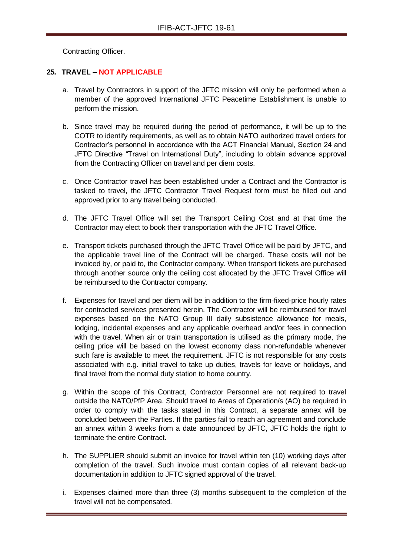Contracting Officer.

# <span id="page-33-0"></span>**25. TRAVEL – NOT APPLICABLE**

- a. Travel by Contractors in support of the JFTC mission will only be performed when a member of the approved International JFTC Peacetime Establishment is unable to perform the mission.
- b. Since travel may be required during the period of performance, it will be up to the COTR to identify requirements, as well as to obtain NATO authorized travel orders for Contractor's personnel in accordance with the ACT Financial Manual, Section 24 and JFTC Directive "Travel on International Duty", including to obtain advance approval from the Contracting Officer on travel and per diem costs.
- c. Once Contractor travel has been established under a Contract and the Contractor is tasked to travel, the JFTC Contractor Travel Request form must be filled out and approved prior to any travel being conducted.
- d. The JFTC Travel Office will set the Transport Ceiling Cost and at that time the Contractor may elect to book their transportation with the JFTC Travel Office.
- e. Transport tickets purchased through the JFTC Travel Office will be paid by JFTC, and the applicable travel line of the Contract will be charged. These costs will not be invoiced by, or paid to, the Contractor company. When transport tickets are purchased through another source only the ceiling cost allocated by the JFTC Travel Office will be reimbursed to the Contractor company.
- f. Expenses for travel and per diem will be in addition to the firm-fixed-price hourly rates for contracted services presented herein. The Contractor will be reimbursed for travel expenses based on the NATO Group III daily subsistence allowance for meals, lodging, incidental expenses and any applicable overhead and/or fees in connection with the travel. When air or train transportation is utilised as the primary mode, the ceiling price will be based on the lowest economy class non-refundable whenever such fare is available to meet the requirement. JFTC is not responsible for any costs associated with e.g. initial travel to take up duties, travels for leave or holidays, and final travel from the normal duty station to home country.
- g. Within the scope of this Contract, Contractor Personnel are not required to travel outside the NATO/PfP Area. Should travel to Areas of Operation/s (AO) be required in order to comply with the tasks stated in this Contract, a separate annex will be concluded between the Parties. If the parties fail to reach an agreement and conclude an annex within 3 weeks from a date announced by JFTC, JFTC holds the right to terminate the entire Contract.
- h. The SUPPLIER should submit an invoice for travel within ten (10) working days after completion of the travel. Such invoice must contain copies of all relevant back-up documentation in addition to JFTC signed approval of the travel.
- i. Expenses claimed more than three (3) months subsequent to the completion of the travel will not be compensated.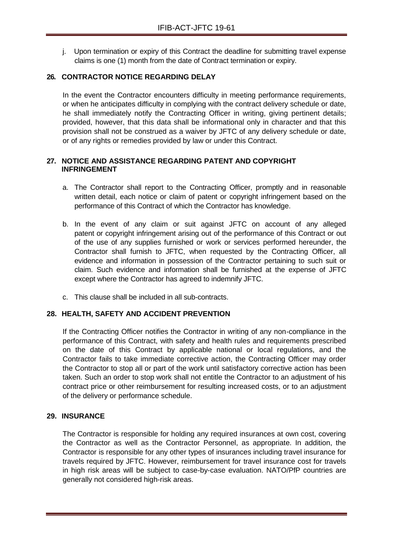j. Upon termination or expiry of this Contract the deadline for submitting travel expense claims is one (1) month from the date of Contract termination or expiry.

# <span id="page-34-0"></span>**26. CONTRACTOR NOTICE REGARDING DELAY**

In the event the Contractor encounters difficulty in meeting performance requirements, or when he anticipates difficulty in complying with the contract delivery schedule or date, he shall immediately notify the Contracting Officer in writing, giving pertinent details; provided, however, that this data shall be informational only in character and that this provision shall not be construed as a waiver by JFTC of any delivery schedule or date, or of any rights or remedies provided by law or under this Contract.

#### <span id="page-34-1"></span>**27. NOTICE AND ASSISTANCE REGARDING PATENT AND COPYRIGHT INFRINGEMENT**

- a. The Contractor shall report to the Contracting Officer, promptly and in reasonable written detail, each notice or claim of patent or copyright infringement based on the performance of this Contract of which the Contractor has knowledge.
- b. In the event of any claim or suit against JFTC on account of any alleged patent or copyright infringement arising out of the performance of this Contract or out of the use of any supplies furnished or work or services performed hereunder, the Contractor shall furnish to JFTC, when requested by the Contracting Officer, all evidence and information in possession of the Contractor pertaining to such suit or claim. Such evidence and information shall be furnished at the expense of JFTC except where the Contractor has agreed to indemnify JFTC.
- c. This clause shall be included in all sub-contracts.

#### <span id="page-34-2"></span>**28. HEALTH, SAFETY AND ACCIDENT PREVENTION**

If the Contracting Officer notifies the Contractor in writing of any non-compliance in the performance of this Contract, with safety and health rules and requirements prescribed on the date of this Contract by applicable national or local regulations, and the Contractor fails to take immediate corrective action, the Contracting Officer may order the Contractor to stop all or part of the work until satisfactory corrective action has been taken. Such an order to stop work shall not entitle the Contractor to an adjustment of his contract price or other reimbursement for resulting increased costs, or to an adjustment of the delivery or performance schedule.

#### <span id="page-34-3"></span>**29. INSURANCE**

The Contractor is responsible for holding any required insurances at own cost, covering the Contractor as well as the Contractor Personnel, as appropriate. In addition, the Contractor is responsible for any other types of insurances including travel insurance for travels required by JFTC. However, reimbursement for travel insurance cost for travels in high risk areas will be subject to case-by-case evaluation. NATO/PfP countries are generally not considered high-risk areas.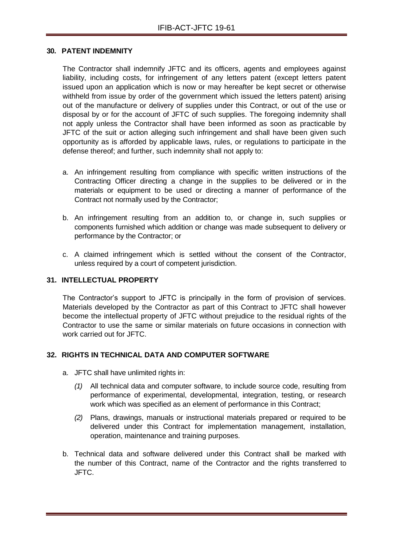#### <span id="page-35-0"></span>**30. PATENT INDEMNITY**

The Contractor shall indemnify JFTC and its officers, agents and employees against liability, including costs, for infringement of any letters patent (except letters patent issued upon an application which is now or may hereafter be kept secret or otherwise withheld from issue by order of the government which issued the letters patent) arising out of the manufacture or delivery of supplies under this Contract, or out of the use or disposal by or for the account of JFTC of such supplies. The foregoing indemnity shall not apply unless the Contractor shall have been informed as soon as practicable by JFTC of the suit or action alleging such infringement and shall have been given such opportunity as is afforded by applicable laws, rules, or regulations to participate in the defense thereof; and further, such indemnity shall not apply to:

- a. An infringement resulting from compliance with specific written instructions of the Contracting Officer directing a change in the supplies to be delivered or in the materials or equipment to be used or directing a manner of performance of the Contract not normally used by the Contractor;
- b. An infringement resulting from an addition to, or change in, such supplies or components furnished which addition or change was made subsequent to delivery or performance by the Contractor; or
- c. A claimed infringement which is settled without the consent of the Contractor, unless required by a court of competent jurisdiction.

#### <span id="page-35-1"></span>**31. INTELLECTUAL PROPERTY**

The Contractor's support to JFTC is principally in the form of provision of services. Materials developed by the Contractor as part of this Contract to JFTC shall however become the intellectual property of JFTC without prejudice to the residual rights of the Contractor to use the same or similar materials on future occasions in connection with work carried out for JFTC.

#### <span id="page-35-2"></span>**32. RIGHTS IN TECHNICAL DATA AND COMPUTER SOFTWARE**

- a. JFTC shall have unlimited rights in:
	- *(1)* All technical data and computer software, to include source code, resulting from performance of experimental, developmental, integration, testing, or research work which was specified as an element of performance in this Contract;
	- *(2)* Plans, drawings, manuals or instructional materials prepared or required to be delivered under this Contract for implementation management, installation, operation, maintenance and training purposes.
- b. Technical data and software delivered under this Contract shall be marked with the number of this Contract, name of the Contractor and the rights transferred to JFTC.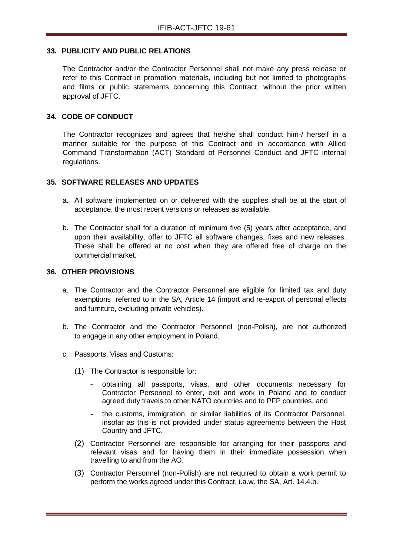#### <span id="page-36-0"></span>**33. PUBLICITY AND PUBLIC RELATIONS**

The Contractor and/or the Contractor Personnel shall not make any press release or refer to this Contract in promotion materials, including but not limited to photographs and films or public statements concerning this Contract, without the prior written approval of JFTC.

#### <span id="page-36-1"></span>**34. CODE OF CONDUCT**

The Contractor recognizes and agrees that he/she shall conduct him-/ herself in a manner suitable for the purpose of this Contract and in accordance with Allied Command Transformation (ACT) Standard of Personnel Conduct and JFTC internal regulations.

#### <span id="page-36-2"></span>**35. SOFTWARE RELEASES AND UPDATES**

- a. All software implemented on or delivered with the supplies shall be at the start of acceptance, the most recent versions or releases as available.
- b. The Contractor shall for a duration of minimum five (5) years after acceptance, and upon their availability, offer to JFTC all software changes, fixes and new releases. These shall be offered at no cost when they are offered free of charge on the commercial market.

#### <span id="page-36-3"></span>**36. OTHER PROVISIONS**

- a. The Contractor and the Contractor Personnel are eligible for limited tax and duty exemptions referred to in the SA, Article 14 (import and re-export of personal effects and furniture, excluding private vehicles).
- b. The Contractor and the Contractor Personnel (non-Polish), are not authorized to engage in any other employment in Poland.
- c. Passports, Visas and Customs:
	- (1) The Contractor is responsible for:
		- obtaining all passports, visas, and other documents necessary for Contractor Personnel to enter, exit and work in Poland and to conduct agreed duty travels to other NATO countries and to PFP countries, and
		- the customs, immigration, or similar liabilities of its Contractor Personnel, insofar as this is not provided under status agreements between the Host Country and JFTC.
	- (2) Contractor Personnel are responsible for arranging for their passports and relevant visas and for having them in their immediate possession when travelling to and from the AO.
	- (3) Contractor Personnel (non-Polish) are not required to obtain a work permit to perform the works agreed under this Contract, i.a.w. the SA, Art. 14.4.b.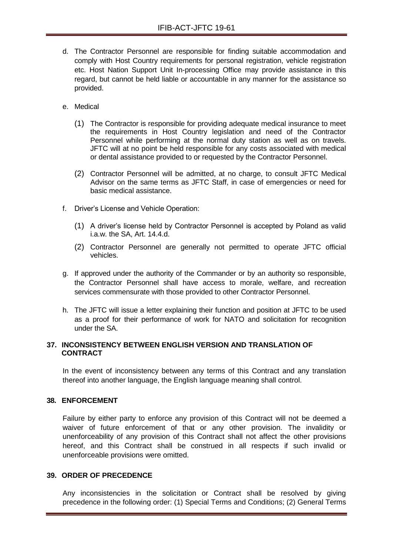- d. The Contractor Personnel are responsible for finding suitable accommodation and comply with Host Country requirements for personal registration, vehicle registration etc. Host Nation Support Unit In-processing Office may provide assistance in this regard, but cannot be held liable or accountable in any manner for the assistance so provided.
- e. Medical
	- (1) The Contractor is responsible for providing adequate medical insurance to meet the requirements in Host Country legislation and need of the Contractor Personnel while performing at the normal duty station as well as on travels. JFTC will at no point be held responsible for any costs associated with medical or dental assistance provided to or requested by the Contractor Personnel.
	- (2) Contractor Personnel will be admitted, at no charge, to consult JFTC Medical Advisor on the same terms as JFTC Staff, in case of emergencies or need for basic medical assistance.
- f. Driver's License and Vehicle Operation:
	- (1) A driver's license held by Contractor Personnel is accepted by Poland as valid i.a.w. the SA, Art. 14.4.d.
	- (2) Contractor Personnel are generally not permitted to operate JFTC official vehicles.
- g. If approved under the authority of the Commander or by an authority so responsible, the Contractor Personnel shall have access to morale, welfare, and recreation services commensurate with those provided to other Contractor Personnel.
- h. The JFTC will issue a letter explaining their function and position at JFTC to be used as a proof for their performance of work for NATO and solicitation for recognition under the SA.

#### <span id="page-37-0"></span>**37. INCONSISTENCY BETWEEN ENGLISH VERSION AND TRANSLATION OF CONTRACT**

In the event of inconsistency between any terms of this Contract and any translation thereof into another language, the English language meaning shall control.

## <span id="page-37-1"></span>**38. ENFORCEMENT**

Failure by either party to enforce any provision of this Contract will not be deemed a waiver of future enforcement of that or any other provision. The invalidity or unenforceability of any provision of this Contract shall not affect the other provisions hereof, and this Contract shall be construed in all respects if such invalid or unenforceable provisions were omitted.

#### <span id="page-37-2"></span>**39. ORDER OF PRECEDENCE**

Any inconsistencies in the solicitation or Contract shall be resolved by giving precedence in the following order: (1) Special Terms and Conditions; (2) General Terms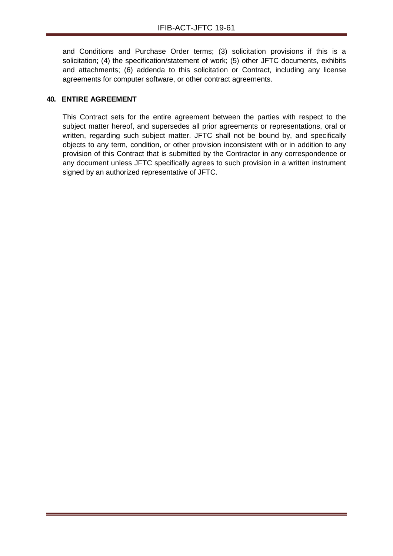and Conditions and Purchase Order terms; (3) solicitation provisions if this is a solicitation; (4) the specification/statement of work; (5) other JFTC documents, exhibits and attachments; (6) addenda to this solicitation or Contract, including any license agreements for computer software, or other contract agreements.

# <span id="page-38-0"></span>**40. ENTIRE AGREEMENT**

This Contract sets for the entire agreement between the parties with respect to the subject matter hereof, and supersedes all prior agreements or representations, oral or written, regarding such subject matter. JFTC shall not be bound by, and specifically objects to any term, condition, or other provision inconsistent with or in addition to any provision of this Contract that is submitted by the Contractor in any correspondence or any document unless JFTC specifically agrees to such provision in a written instrument signed by an authorized representative of JFTC.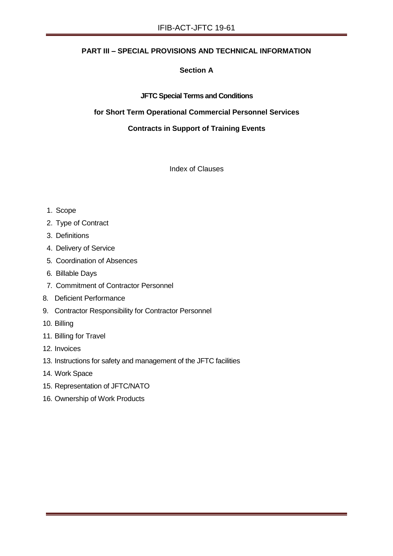# **PART III – SPECIAL PROVISIONS AND TECHNICAL INFORMATION**

# **Section A**

#### **JFTC Special Terms and Conditions**

#### **for Short Term Operational Commercial Personnel Services**

#### **Contracts in Support of Training Events**

Index of Clauses

- 1. Scope
- 2. Type of Contract
- 3. Definitions
- 4. Delivery of Service
- 5. Coordination of Absences
- 6. Billable Days
- 7. Commitment of Contractor Personnel
- 8. Deficient Performance
- 9. Contractor Responsibility for Contractor Personnel
- 10. Billing
- 11. Billing for Travel
- 12. Invoices
- 13. Instructions for safety and management of the JFTC facilities
- 14. Work Space
- 15. Representation of JFTC/NATO
- 16. Ownership of Work Products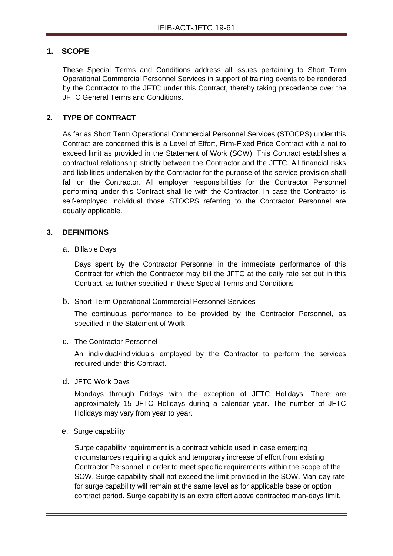# **1. SCOPE**

These Special Terms and Conditions address all issues pertaining to Short Term Operational Commercial Personnel Services in support of training events to be rendered by the Contractor to the JFTC under this Contract, thereby taking precedence over the JFTC General Terms and Conditions.

# **2. TYPE OF CONTRACT**

As far as Short Term Operational Commercial Personnel Services (STOCPS) under this Contract are concerned this is a Level of Effort, Firm-Fixed Price Contract with a not to exceed limit as provided in the Statement of Work (SOW). This Contract establishes a contractual relationship strictly between the Contractor and the JFTC. All financial risks and liabilities undertaken by the Contractor for the purpose of the service provision shall fall on the Contractor. All employer responsibilities for the Contractor Personnel performing under this Contract shall lie with the Contractor. In case the Contractor is self-employed individual those STOCPS referring to the Contractor Personnel are equally applicable.

# **3. DEFINITIONS**

a. Billable Days

Days spent by the Contractor Personnel in the immediate performance of this Contract for which the Contractor may bill the JFTC at the daily rate set out in this Contract, as further specified in these Special Terms and Conditions

b. Short Term Operational Commercial Personnel Services

The continuous performance to be provided by the Contractor Personnel, as specified in the Statement of Work.

c. The Contractor Personnel

An individual/individuals employed by the Contractor to perform the services required under this Contract.

d. JFTC Work Days

Mondays through Fridays with the exception of JFTC Holidays. There are approximately 15 JFTC Holidays during a calendar year. The number of JFTC Holidays may vary from year to year.

e. Surge capability

Surge capability requirement is a contract vehicle used in case emerging circumstances requiring a quick and temporary increase of effort from existing Contractor Personnel in order to meet specific requirements within the scope of the SOW. Surge capability shall not exceed the limit provided in the SOW. Man-day rate for surge capability will remain at the same level as for applicable base or option contract period. Surge capability is an extra effort above contracted man-days limit,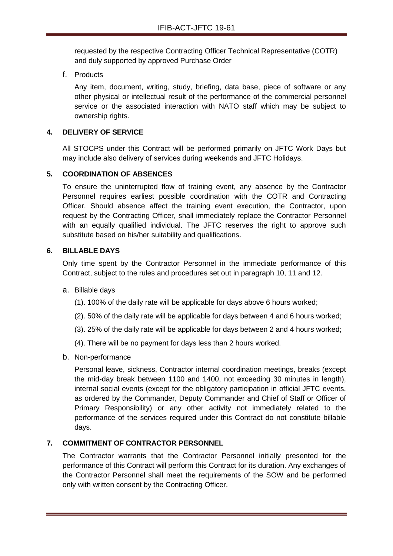requested by the respective Contracting Officer Technical Representative (COTR) and duly supported by approved Purchase Order

f. Products

Any item, document, writing, study, briefing, data base, piece of software or any other physical or intellectual result of the performance of the commercial personnel service or the associated interaction with NATO staff which may be subject to ownership rights.

# **4. DELIVERY OF SERVICE**

All STOCPS under this Contract will be performed primarily on JFTC Work Days but may include also delivery of services during weekends and JFTC Holidays.

# **5. COORDINATION OF ABSENCES**

To ensure the uninterrupted flow of training event, any absence by the Contractor Personnel requires earliest possible coordination with the COTR and Contracting Officer. Should absence affect the training event execution, the Contractor, upon request by the Contracting Officer, shall immediately replace the Contractor Personnel with an equally qualified individual. The JFTC reserves the right to approve such substitute based on his/her suitability and qualifications.

#### **6. BILLABLE DAYS**

Only time spent by the Contractor Personnel in the immediate performance of this Contract, subject to the rules and procedures set out in paragraph 10, 11 and 12.

- a. Billable days
	- (1). 100% of the daily rate will be applicable for days above 6 hours worked;
	- (2). 50% of the daily rate will be applicable for days between 4 and 6 hours worked;
	- (3). 25% of the daily rate will be applicable for days between 2 and 4 hours worked;
	- (4). There will be no payment for days less than 2 hours worked.
- b. Non-performance

Personal leave, sickness, Contractor internal coordination meetings, breaks (except the mid-day break between 1100 and 1400, not exceeding 30 minutes in length), internal social events (except for the obligatory participation in official JFTC events, as ordered by the Commander, Deputy Commander and Chief of Staff or Officer of Primary Responsibility) or any other activity not immediately related to the performance of the services required under this Contract do not constitute billable days.

#### **7. COMMITMENT OF CONTRACTOR PERSONNEL**

The Contractor warrants that the Contractor Personnel initially presented for the performance of this Contract will perform this Contract for its duration. Any exchanges of the Contractor Personnel shall meet the requirements of the SOW and be performed only with written consent by the Contracting Officer.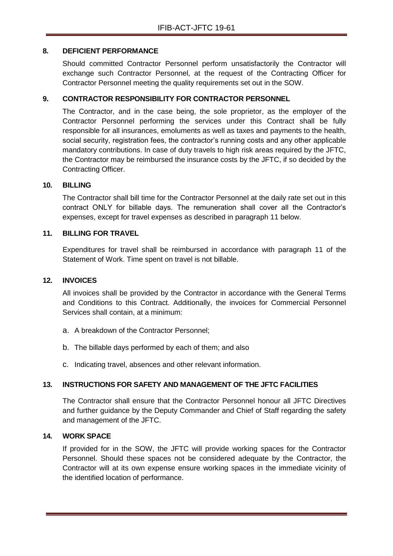## **8. DEFICIENT PERFORMANCE**

Should committed Contractor Personnel perform unsatisfactorily the Contractor will exchange such Contractor Personnel, at the request of the Contracting Officer for Contractor Personnel meeting the quality requirements set out in the SOW.

# **9. CONTRACTOR RESPONSIBILITY FOR CONTRACTOR PERSONNEL**

The Contractor, and in the case being, the sole proprietor, as the employer of the Contractor Personnel performing the services under this Contract shall be fully responsible for all insurances, emoluments as well as taxes and payments to the health, social security, registration fees, the contractor's running costs and any other applicable mandatory contributions. In case of duty travels to high risk areas required by the JFTC, the Contractor may be reimbursed the insurance costs by the JFTC, if so decided by the Contracting Officer.

#### **10. BILLING**

The Contractor shall bill time for the Contractor Personnel at the daily rate set out in this contract ONLY for billable days. The remuneration shall cover all the Contractor's expenses, except for travel expenses as described in paragraph 11 below.

# **11. BILLING FOR TRAVEL**

Expenditures for travel shall be reimbursed in accordance with paragraph 11 of the Statement of Work. Time spent on travel is not billable.

#### **12. INVOICES**

All invoices shall be provided by the Contractor in accordance with the General Terms and Conditions to this Contract. Additionally, the invoices for Commercial Personnel Services shall contain, at a minimum:

- a. A breakdown of the Contractor Personnel;
- b. The billable days performed by each of them; and also
- c. Indicating travel, absences and other relevant information.

# **13. INSTRUCTIONS FOR SAFETY AND MANAGEMENT OF THE JFTC FACILITIES**

The Contractor shall ensure that the Contractor Personnel honour all JFTC Directives and further guidance by the Deputy Commander and Chief of Staff regarding the safety and management of the JFTC.

#### **14. WORK SPACE**

If provided for in the SOW, the JFTC will provide working spaces for the Contractor Personnel. Should these spaces not be considered adequate by the Contractor, the Contractor will at its own expense ensure working spaces in the immediate vicinity of the identified location of performance.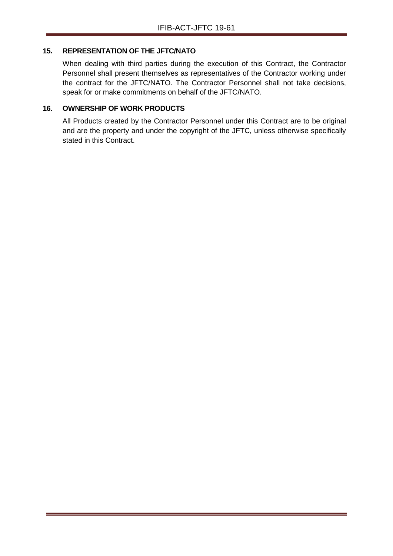#### **15. REPRESENTATION OF THE JFTC/NATO**

When dealing with third parties during the execution of this Contract, the Contractor Personnel shall present themselves as representatives of the Contractor working under the contract for the JFTC/NATO. The Contractor Personnel shall not take decisions, speak for or make commitments on behalf of the JFTC/NATO.

# **16. OWNERSHIP OF WORK PRODUCTS**

All Products created by the Contractor Personnel under this Contract are to be original and are the property and under the copyright of the JFTC, unless otherwise specifically stated in this Contract.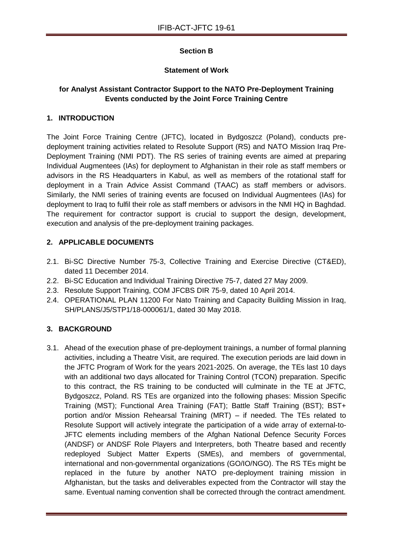# **Section B**

# **Statement of Work**

# **for Analyst Assistant Contractor Support to the NATO Pre-Deployment Training Events conducted by the Joint Force Training Centre**

# **1. INTRODUCTION**

The Joint Force Training Centre (JFTC), located in Bydgoszcz (Poland), conducts predeployment training activities related to Resolute Support (RS) and NATO Mission Iraq Pre-Deployment Training (NMI PDT). The RS series of training events are aimed at preparing Individual Augmentees (IAs) for deployment to Afghanistan in their role as staff members or advisors in the RS Headquarters in Kabul, as well as members of the rotational staff for deployment in a Train Advice Assist Command (TAAC) as staff members or advisors. Similarly, the NMI series of training events are focused on Individual Augmentees (IAs) for deployment to Iraq to fulfil their role as staff members or advisors in the NMI HQ in Baghdad. The requirement for contractor support is crucial to support the design, development, execution and analysis of the pre-deployment training packages.

# **2. APPLICABLE DOCUMENTS**

- 2.1. Bi-SC Directive Number 75-3, Collective Training and Exercise Directive (CT&ED), dated 11 December 2014.
- 2.2. Bi-SC Education and Individual Training Directive 75-7, dated 27 May 2009.
- 2.3. Resolute Support Training, COM JFCBS DIR 75-9, dated 10 April 2014.
- 2.4. OPERATIONAL PLAN 11200 For Nato Training and Capacity Building Mission in Iraq, SH/PLANS/J5/STP1/18-000061/1, dated 30 May 2018.

# **3. BACKGROUND**

3.1. Ahead of the execution phase of pre-deployment trainings, a number of formal planning activities, including a Theatre Visit, are required. The execution periods are laid down in the JFTC Program of Work for the years 2021-2025. On average, the TEs last 10 days with an additional two days allocated for Training Control (TCON) preparation. Specific to this contract, the RS training to be conducted will culminate in the TE at JFTC, Bydgoszcz, Poland. RS TEs are organized into the following phases: Mission Specific Training (MST); Functional Area Training (FAT); Battle Staff Training (BST); BST+ portion and/or Mission Rehearsal Training (MRT) – if needed. The TEs related to Resolute Support will actively integrate the participation of a wide array of external-to-JFTC elements including members of the Afghan National Defence Security Forces (ANDSF) or ANDSF Role Players and Interpreters, both Theatre based and recently redeployed Subject Matter Experts (SMEs), and members of governmental, international and non-governmental organizations (GO/IO/NGO). The RS TEs might be replaced in the future by another NATO pre-deployment training mission in Afghanistan, but the tasks and deliverables expected from the Contractor will stay the same. Eventual naming convention shall be corrected through the contract amendment.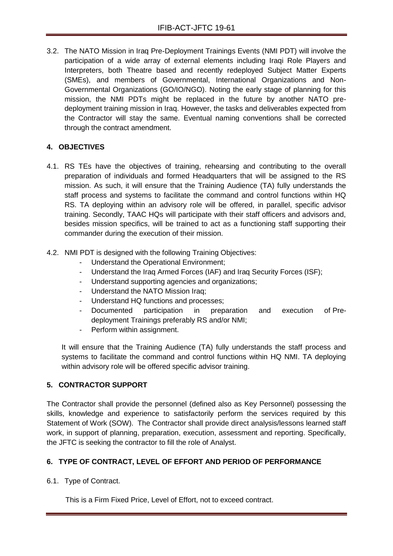3.2. The NATO Mission in Iraq Pre-Deployment Trainings Events (NMI PDT) will involve the participation of a wide array of external elements including Iraqi Role Players and Interpreters, both Theatre based and recently redeployed Subject Matter Experts (SMEs), and members of Governmental, International Organizations and Non-Governmental Organizations (GO/IO/NGO). Noting the early stage of planning for this mission, the NMI PDTs might be replaced in the future by another NATO predeployment training mission in Iraq. However, the tasks and deliverables expected from the Contractor will stay the same. Eventual naming conventions shall be corrected through the contract amendment.

# **4. OBJECTIVES**

- 4.1. RS TEs have the objectives of training, rehearsing and contributing to the overall preparation of individuals and formed Headquarters that will be assigned to the RS mission. As such, it will ensure that the Training Audience (TA) fully understands the staff process and systems to facilitate the command and control functions within HQ RS. TA deploying within an advisory role will be offered, in parallel, specific advisor training. Secondly, TAAC HQs will participate with their staff officers and advisors and, besides mission specifics, will be trained to act as a functioning staff supporting their commander during the execution of their mission.
- 4.2. NMI PDT is designed with the following Training Objectives:
	- Understand the Operational Environment;
	- Understand the Iraq Armed Forces (IAF) and Iraq Security Forces (ISF);
	- Understand supporting agencies and organizations;
	- Understand the NATO Mission Iraq;
	- Understand HQ functions and processes;
	- Documented participation in preparation and execution of Predeployment Trainings preferably RS and/or NMI;
	- Perform within assignment.

It will ensure that the Training Audience (TA) fully understands the staff process and systems to facilitate the command and control functions within HQ NMI. TA deploying within advisory role will be offered specific advisor training.

# **5. CONTRACTOR SUPPORT**

The Contractor shall provide the personnel (defined also as Key Personnel) possessing the skills, knowledge and experience to satisfactorily perform the services required by this Statement of Work (SOW). The Contractor shall provide direct analysis/lessons learned staff work, in support of planning, preparation, execution, assessment and reporting. Specifically, the JFTC is seeking the contractor to fill the role of Analyst.

# **6. TYPE OF CONTRACT, LEVEL OF EFFORT AND PERIOD OF PERFORMANCE**

6.1. Type of Contract.

This is a Firm Fixed Price, Level of Effort, not to exceed contract.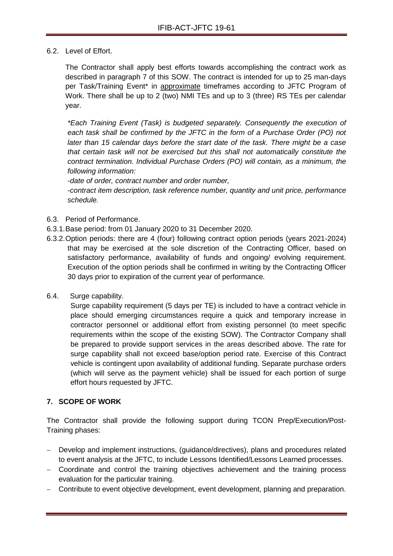6.2. Level of Effort.

The Contractor shall apply best efforts towards accomplishing the contract work as described in paragraph 7 of this SOW. The contract is intended for up to 25 man-days per Task/Training Event\* in approximate timeframes according to JFTC Program of Work. There shall be up to 2 (two) NMI TEs and up to 3 (three) RS TEs per calendar year.

*\*Each Training Event (Task) is budgeted separately. Consequently the execution of each task shall be confirmed by the JFTC in the form of a Purchase Order (PO) not later than 15 calendar days before the start date of the task. There might be a case that certain task will not be exercised but this shall not automatically constitute the contract termination. Individual Purchase Orders (PO) will contain, as a minimum, the following information:*

-*date of order, contract number and order number,*

-*contract item description, task reference number, quantity and unit price, performance schedule.*

- 6.3. Period of Performance.
- 6.3.1.Base period: from 01 January 2020 to 31 December 2020.
- 6.3.2.Option periods: there are 4 (four) following contract option periods (years 2021-2024) that may be exercised at the sole discretion of the Contracting Officer, based on satisfactory performance, availability of funds and ongoing/ evolving requirement. Execution of the option periods shall be confirmed in writing by the Contracting Officer 30 days prior to expiration of the current year of performance.
- 6.4. Surge capability.

Surge capability requirement (5 days per TE) is included to have a contract vehicle in place should emerging circumstances require a quick and temporary increase in contractor personnel or additional effort from existing personnel (to meet specific requirements within the scope of the existing SOW). The Contractor Company shall be prepared to provide support services in the areas described above. The rate for surge capability shall not exceed base/option period rate. Exercise of this Contract vehicle is contingent upon availability of additional funding. Separate purchase orders (which will serve as the payment vehicle) shall be issued for each portion of surge effort hours requested by JFTC.

# **7. SCOPE OF WORK**

The Contractor shall provide the following support during TCON Prep/Execution/Post-Training phases:

- Develop and implement instructions, (guidance/directives), plans and procedures related to event analysis at the JFTC, to include Lessons Identified/Lessons Learned processes.
- Coordinate and control the training objectives achievement and the training process evaluation for the particular training.
- Contribute to event objective development, event development, planning and preparation.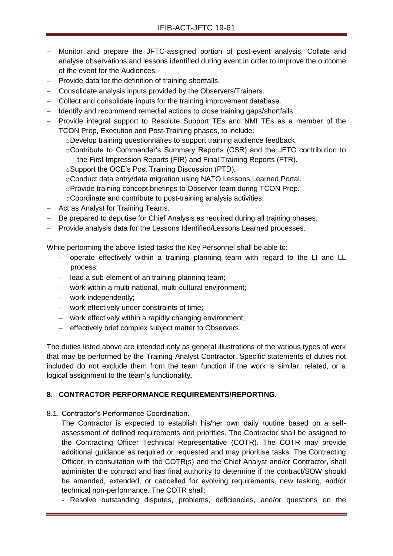- Monitor and prepare the JFTC-assigned portion of post-event analysis. Collate and analyse observations and lessons identified during event in order to improve the outcome of the event for the Audiences.
- Provide data for the definition of training shortfalls.
- Consolidate analysis inputs provided by the Observers/Trainers.
- Collect and consolidate inputs for the training improvement database.
- Identify and recommend remedial actions to close training gaps/shortfalls.
- Provide integral support to Resolute Support TEs and NMI TEs as a member of the TCON Prep, Execution and Post-Training phases, to include:

oDevelop training questionnaires to support training audience feedback.

- oContribute to Commander's Summary Reports (CSR) and the JFTC contribution to the First Impression Reports (FIR) and Final Training Reports (FTR).
- oSupport the OCE's Post Training Discussion (PTD).
- oConduct data entry/data migration using NATO Lessons Learned Portal.
- oProvide training concept briefings to Observer team during TCON Prep.
- oCoordinate and contribute to post-training analysis activities.
- Act as Analyst for Training Teams.
- Be prepared to deputise for Chief Analysis as required during all training phases.
- Provide analysis data for the Lessons Identified/Lessons Learned processes.

While performing the above listed tasks the Key Personnel shall be able to:

- operate effectively within a training planning team with regard to the LI and LL process;
- $\blacksquare$  lead a sub-element of an training planning team;
- work within a multi-national, multi-cultural environment;
- work independently;
- work effectively under constraints of time;
- work effectively within a rapidly changing environment;
- effectively brief complex subject matter to Observers.

The duties listed above are intended only as general illustrations of the various types of work that may be performed by the Training Analyst Contractor. Specific statements of duties not included do not exclude them from the team function if the work is similar, related, or a logical assignment to the team's functionality.

## **8. CONTRACTOR PERFORMANCE REQUIREMENTS/REPORTING.**

8.1. Contractor's Performance Coordination.

The Contractor is expected to establish his/her own daily routine based on a selfassessment of defined requirements and priorities. The Contractor shall be assigned to the Contracting Officer Technical Representative (COTR). The COTR may provide additional guidance as required or requested and may prioritise tasks. The Contracting Officer, in consultation with the COTR(s) and the Chief Analyst and/or Contractor, shall administer the contract and has final authority to determine if the contract/SOW should be amended, extended, or cancelled for evolving requirements, new tasking, and/or technical non-performance. The COTR shall:

- Resolve outstanding disputes, problems, deficiencies, and/or questions on the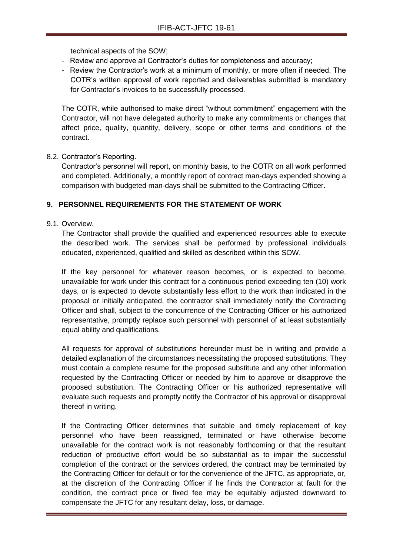technical aspects of the SOW;

- Review and approve all Contractor's duties for completeness and accuracy;
- Review the Contractor's work at a minimum of monthly, or more often if needed. The COTR's written approval of work reported and deliverables submitted is mandatory for Contractor's invoices to be successfully processed.

The COTR, while authorised to make direct "without commitment" engagement with the Contractor, will not have delegated authority to make any commitments or changes that affect price, quality, quantity, delivery, scope or other terms and conditions of the contract.

#### 8.2. Contractor's Reporting.

Contractor's personnel will report, on monthly basis, to the COTR on all work performed and completed. Additionally, a monthly report of contract man-days expended showing a comparison with budgeted man-days shall be submitted to the Contracting Officer.

#### **9. PERSONNEL REQUIREMENTS FOR THE STATEMENT OF WORK**

#### 9.1. Overview.

The Contractor shall provide the qualified and experienced resources able to execute the described work. The services shall be performed by professional individuals educated, experienced, qualified and skilled as described within this SOW.

If the key personnel for whatever reason becomes, or is expected to become, unavailable for work under this contract for a continuous period exceeding ten (10) work days, or is expected to devote substantially less effort to the work than indicated in the proposal or initially anticipated, the contractor shall immediately notify the Contracting Officer and shall, subject to the concurrence of the Contracting Officer or his authorized representative, promptly replace such personnel with personnel of at least substantially equal ability and qualifications.

All requests for approval of substitutions hereunder must be in writing and provide a detailed explanation of the circumstances necessitating the proposed substitutions. They must contain a complete resume for the proposed substitute and any other information requested by the Contracting Officer or needed by him to approve or disapprove the proposed substitution. The Contracting Officer or his authorized representative will evaluate such requests and promptly notify the Contractor of his approval or disapproval thereof in writing.

If the Contracting Officer determines that suitable and timely replacement of key personnel who have been reassigned, terminated or have otherwise become unavailable for the contract work is not reasonably forthcoming or that the resultant reduction of productive effort would be so substantial as to impair the successful completion of the contract or the services ordered, the contract may be terminated by the Contracting Officer for default or for the convenience of the JFTC, as appropriate, or, at the discretion of the Contracting Officer if he finds the Contractor at fault for the condition, the contract price or fixed fee may be equitably adjusted downward to compensate the JFTC for any resultant delay, loss, or damage.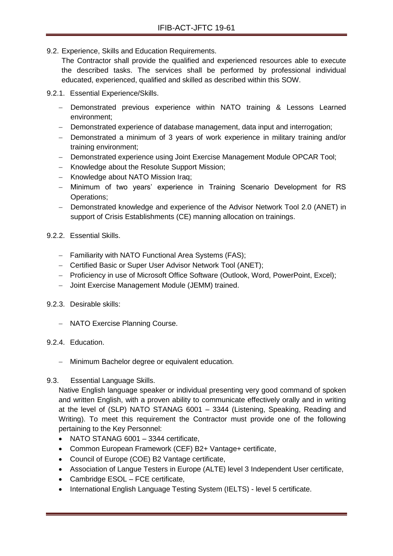9.2. Experience, Skills and Education Requirements.

The Contractor shall provide the qualified and experienced resources able to execute the described tasks. The services shall be performed by professional individual educated, experienced, qualified and skilled as described within this SOW.

- 9.2.1. Essential Experience/Skills.
	- Demonstrated previous experience within NATO training & Lessons Learned environment;
	- Demonstrated experience of database management, data input and interrogation;
	- Demonstrated a minimum of 3 years of work experience in military training and/or training environment;
	- Demonstrated experience using Joint Exercise Management Module OPCAR Tool;
	- Knowledge about the Resolute Support Mission;
	- Knowledge about NATO Mission Iraq;
	- Minimum of two years' experience in Training Scenario Development for RS Operations;
	- Demonstrated knowledge and experience of the Advisor Network Tool 2.0 (ANET) in support of Crisis Establishments (CE) manning allocation on trainings.
- 9.2.2. Essential Skills.
	- Familiarity with NATO Functional Area Systems (FAS);
	- Certified Basic or Super User Advisor Network Tool (ANET);
	- Proficiency in use of Microsoft Office Software (Outlook, Word, PowerPoint, Excel);
	- Joint Exercise Management Module (JEMM) trained.
- 9.2.3. Desirable skills:
	- NATO Exercise Planning Course.

#### 9.2.4. Education.

- Minimum Bachelor degree or equivalent education.

#### 9.3. Essential Language Skills.

Native English language speaker or individual presenting very good command of spoken and written English, with a proven ability to communicate effectively orally and in writing at the level of (SLP) NATO STANAG 6001 – 3344 (Listening, Speaking, Reading and Writing). To meet this requirement the Contractor must provide one of the following pertaining to the Key Personnel:

- NATO STANAG 6001 3344 certificate.
- Common European Framework (CEF) B2+ Vantage+ certificate,
- Council of Europe (COE) B2 Vantage certificate,
- Association of Langue Testers in Europe (ALTE) level 3 Independent User certificate,
- Cambridge ESOL FCE certificate,
- International English Language Testing System (IELTS) level 5 certificate.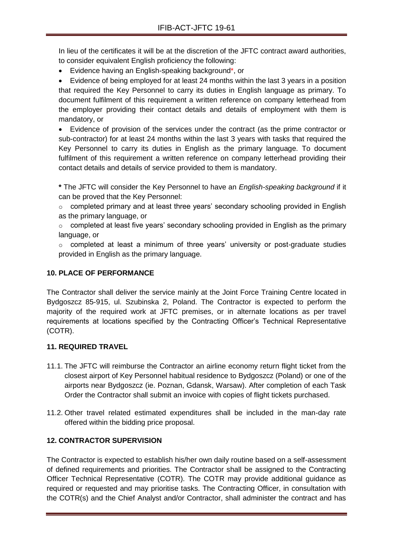In lieu of the certificates it will be at the discretion of the JFTC contract award authorities, to consider equivalent English proficiency the following:

Evidence having an English-speaking background\*, or

 Evidence of being employed for at least 24 months within the last 3 years in a position that required the Key Personnel to carry its duties in English language as primary. To document fulfilment of this requirement a written reference on company letterhead from the employer providing their contact details and details of employment with them is mandatory, or

 Evidence of provision of the services under the contract (as the prime contractor or sub-contractor) for at least 24 months within the last 3 years with tasks that required the Key Personnel to carry its duties in English as the primary language. To document fulfilment of this requirement a written reference on company letterhead providing their contact details and details of service provided to them is mandatory.

**\*** The JFTC will consider the Key Personnel to have an *English-speaking background* if it can be proved that the Key Personnel:

o completed primary and at least three years' secondary schooling provided in English as the primary language, or

o completed at least five years' secondary schooling provided in English as the primary language, or

o completed at least a minimum of three years' university or post-graduate studies provided in English as the primary language.

# **10. PLACE OF PERFORMANCE**

The Contractor shall deliver the service mainly at the Joint Force Training Centre located in Bydgoszcz 85-915, ul. Szubinska 2, Poland. The Contractor is expected to perform the majority of the required work at JFTC premises, or in alternate locations as per travel requirements at locations specified by the Contracting Officer's Technical Representative (COTR).

# **11. REQUIRED TRAVEL**

- 11.1. The JFTC will reimburse the Contractor an airline economy return flight ticket from the closest airport of Key Personnel habitual residence to Bydgoszcz (Poland) or one of the airports near Bydgoszcz (ie. Poznan, Gdansk, Warsaw). After completion of each Task Order the Contractor shall submit an invoice with copies of flight tickets purchased.
- 11.2. Other travel related estimated expenditures shall be included in the man-day rate offered within the bidding price proposal.

# **12. CONTRACTOR SUPERVISION**

The Contractor is expected to establish his/her own daily routine based on a self-assessment of defined requirements and priorities. The Contractor shall be assigned to the Contracting Officer Technical Representative (COTR). The COTR may provide additional guidance as required or requested and may prioritise tasks. The Contracting Officer, in consultation with the COTR(s) and the Chief Analyst and/or Contractor, shall administer the contract and has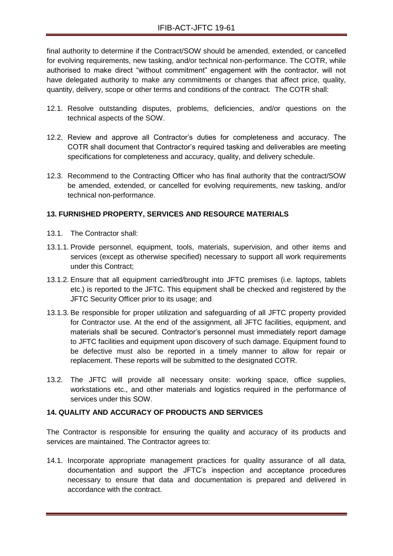final authority to determine if the Contract/SOW should be amended, extended, or cancelled for evolving requirements, new tasking, and/or technical non-performance. The COTR, while authorised to make direct "without commitment" engagement with the contractor, will not have delegated authority to make any commitments or changes that affect price, quality, quantity, delivery, scope or other terms and conditions of the contract. The COTR shall:

- 12.1. Resolve outstanding disputes, problems, deficiencies, and/or questions on the technical aspects of the SOW.
- 12.2. Review and approve all Contractor's duties for completeness and accuracy. The COTR shall document that Contractor's required tasking and deliverables are meeting specifications for completeness and accuracy, quality, and delivery schedule.
- 12.3. Recommend to the Contracting Officer who has final authority that the contract/SOW be amended, extended, or cancelled for evolving requirements, new tasking, and/or technical non-performance.

# **13. FURNISHED PROPERTY, SERVICES AND RESOURCE MATERIALS**

- 13.1. The Contractor shall:
- 13.1.1. Provide personnel, equipment, tools, materials, supervision, and other items and services (except as otherwise specified) necessary to support all work requirements under this Contract;
- 13.1.2. Ensure that all equipment carried/brought into JFTC premises (i.e. laptops, tablets etc.) is reported to the JFTC. This equipment shall be checked and registered by the JFTC Security Officer prior to its usage; and
- 13.1.3. Be responsible for proper utilization and safeguarding of all JFTC property provided for Contractor use. At the end of the assignment, all JFTC facilities, equipment, and materials shall be secured. Contractor's personnel must immediately report damage to JFTC facilities and equipment upon discovery of such damage. Equipment found to be defective must also be reported in a timely manner to allow for repair or replacement. These reports will be submitted to the designated COTR.
- 13.2. The JFTC will provide all necessary onsite: working space, office supplies, workstations etc., and other materials and logistics required in the performance of services under this SOW.

#### **14. QUALITY AND ACCURACY OF PRODUCTS AND SERVICES**

The Contractor is responsible for ensuring the quality and accuracy of its products and services are maintained. The Contractor agrees to:

14.1. Incorporate appropriate management practices for quality assurance of all data, documentation and support the JFTC's inspection and acceptance procedures necessary to ensure that data and documentation is prepared and delivered in accordance with the contract.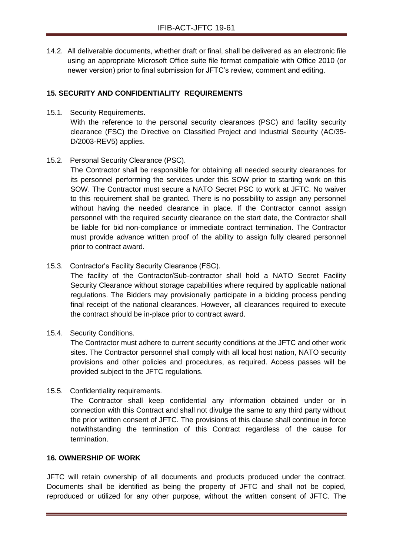14.2. All deliverable documents, whether draft or final, shall be delivered as an electronic file using an appropriate Microsoft Office suite file format compatible with Office 2010 (or newer version) prior to final submission for JFTC's review, comment and editing.

# **15. SECURITY AND CONFIDENTIALITY REQUIREMENTS**

15.1. Security Requirements.

With the reference to the personal security clearances (PSC) and facility security clearance (FSC) the Directive on Classified Project and Industrial Security (AC/35- D/2003-REV5) applies.

15.2. Personal Security Clearance (PSC).

The Contractor shall be responsible for obtaining all needed security clearances for its personnel performing the services under this SOW prior to starting work on this SOW. The Contractor must secure a NATO Secret PSC to work at JFTC. No waiver to this requirement shall be granted. There is no possibility to assign any personnel without having the needed clearance in place. If the Contractor cannot assign personnel with the required security clearance on the start date, the Contractor shall be liable for bid non-compliance or immediate contract termination. The Contractor must provide advance written proof of the ability to assign fully cleared personnel prior to contract award.

15.3. Contractor's Facility Security Clearance (FSC).

The facility of the Contractor/Sub-contractor shall hold a NATO Secret Facility Security Clearance without storage capabilities where required by applicable national regulations. The Bidders may provisionally participate in a bidding process pending final receipt of the national clearances. However, all clearances required to execute the contract should be in-place prior to contract award.

15.4. Security Conditions.

The Contractor must adhere to current security conditions at the JFTC and other work sites. The Contractor personnel shall comply with all local host nation, NATO security provisions and other policies and procedures, as required. Access passes will be provided subject to the JFTC regulations.

15.5. Confidentiality requirements.

The Contractor shall keep confidential any information obtained under or in connection with this Contract and shall not divulge the same to any third party without the prior written consent of JFTC. The provisions of this clause shall continue in force notwithstanding the termination of this Contract regardless of the cause for termination.

#### **16. OWNERSHIP OF WORK**

JFTC will retain ownership of all documents and products produced under the contract. Documents shall be identified as being the property of JFTC and shall not be copied, reproduced or utilized for any other purpose, without the written consent of JFTC. The